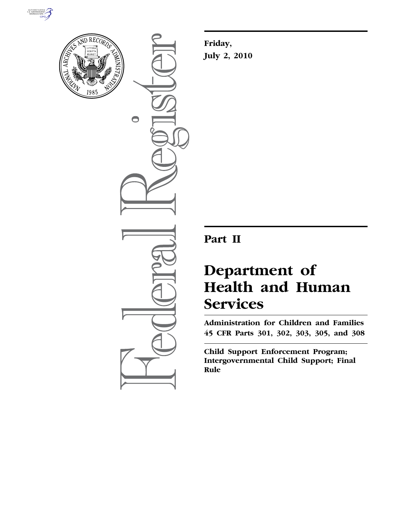



 $\bigcirc$ 

**Friday, July 2, 2010** 

## **Part II**

# **Department of Health and Human Services**

**Administration for Children and Families 45 CFR Parts 301, 302, 303, 305, and 308** 

**Child Support Enforcement Program; Intergovernmental Child Support; Final Rule**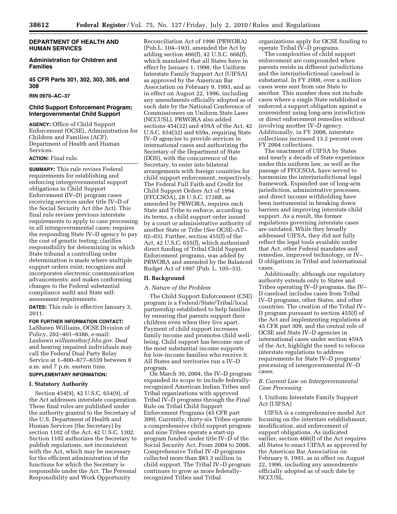## **DEPARTMENT OF HEALTH AND HUMAN SERVICES**

## **Administration for Children and Families**

## **45 CFR Parts 301, 302, 303, 305, and 308**

#### **RIN 0970–AC–37**

## **Child Support Enforcement Program; Intergovernmental Child Support**

**AGENCY:** Office of Child Support Enforcement (OCSE), Administration for Children and Families (ACF), Department of Health and Human Services.

## **ACTION:** Final rule.

**SUMMARY:** This rule revises Federal requirements for establishing and enforcing intergovernmental support obligations in Child Support Enforcement (IV–D) program cases receiving services under title IV–D of the Social Security Act (the Act). This final rule revises previous interstate requirements to apply to case processing in all intergovernmental cases; requires the responding State IV–D agency to pay the cost of genetic testing; clarifies responsibility for determining in which State tribunal a controlling order determination is made where multiple support orders exist; recognizes and incorporates electronic communication advancements; and makes conforming changes to the Federal substantial compliance audit and State selfassessment requirements.

**DATES:** This rule is effective January 3, 2011.

#### **FOR FURTHER INFORMATION CONTACT:**

LaShawn Williams, OCSE Division of Policy, 202–401–9386, e-mail: *Lashawn.williams@acf.hhs.gov*. Deaf and hearing impaired individuals may call the Federal Dual Party Relay Service at 1–800–877–8339 between 8 a.m. and 7 p.m. eastern time.

## **SUPPLEMENTARY INFORMATION:**

## **I. Statutory Authority**

Section 454(9), 42 U.S.C. 654(9), of the Act addresses interstate cooperation. These final rules are published under the authority granted to the Secretary of the U.S. Department of Health and Human Services (the Secretary) by section 1102 of the Act, 42 U.S.C. 1302. Section 1102 authorizes the Secretary to publish regulations, not inconsistent with the Act, which may be necessary for the efficient administration of the functions for which the Secretary is responsible under the Act. The Personal Responsibility and Work Opportunity

Reconciliation Act of 1996 (PRWORA) (Pub.L. 104–193), amended the Act by adding section 466(f), 42 U.S.C. 666(f), which mandated that all States have in effect by January 1, 1998, the Uniform Interstate Family Support Act (UIFSA) as approved by the American Bar Association on February 9, 1993, and as in effect on August 22, 1996, including any amendments officially adopted as of such date by the National Conference of Commissioners on Uniform State Laws (NCCUSL). PRWORA also added sections 454(32) and 459A of the Act, 42 U.S.C. 654(32) and 659a, requiring State IV–D agencies to provide services in international cases and authorizing the Secretary of the Department of State (DOS), with the concurrence of the Secretary, to enter into bilateral arrangements with foreign countries for child support enforcement, respectively. The Federal Full Faith and Credit for Child Support Orders Act of 1994 (FFCCSOA), 28 U.S.C. 1738B, as amended by PRWORA, requires each State and Tribe to enforce, according to its terms, a child support order issued by a court or administrative authority of another State or Tribe (*See* OCSE–AT– 02–03). Further, section 455(f) of the Act, 42 U.S.C. 655(f), which authorized direct funding of Tribal Child Support Enforcement programs, was added by PRWORA and amended by the Balanced Budget Act of 1997 (Pub. L. 105–33).

#### **II. Background**

#### *A. Nature of the Problem*

The Child Support Enforcement (CSE) program is a Federal/State/Tribal/local partnership established to help families by ensuring that parents support their children even when they live apart. Payment of child support increases family income and promotes child wellbeing. Child support has become one of the most substantial income supports for low-income families who receive it. All States and territories run a IV–D program.

On March 30, 2004, the IV–D program expanded its scope to include federallyrecognized American Indian Tribes and Tribal organizations with approved Tribal IV–D programs through the Final Rule on Tribal Child Support Enforcement Programs (45 CFR part 309). Currently, thirty-six Tribes operate a comprehensive child support program and nine Tribes operate a start-up program funded under title IV–D of the Social Security Act. From 2004 to 2008, Comprehensive Tribal IV–D programs collected more than \$83.3 million in child support. The Tribal IV–D program continues to grow as more federallyrecognized Tribes and Tribal

organizations apply for OCSE funding to operate Tribal IV–D programs.

The complexities of child support enforcement are compounded when parents reside in different jurisdictions and the interjurisdictional caseload is substantial. In FY 2008, over a million cases were sent from one State to another. This number does not include cases where a single State established or enforced a support obligation against a nonresident using long-arm jurisdiction or direct enforcement remedies without involving another IV–D agency. Additionally, in FY 2008, interstate collections increased 13.2 percent over FY 2004 collections.

The enactment of UIFSA by States and nearly a decade of State experience under this uniform law, as well as the passage of FFCCSOA, have served to harmonize the interjurisdictional legal framework. Expanded use of long-arm jurisdiction, administrative processes, and direct income withholding have been instrumental in breaking down barriers and improving interstate child support. As a result, the former regulations governing interstate cases are outdated. While they broadly addressed UIFSA, they did not fully reflect the legal tools available under that Act, other Federal mandates and remedies, improved technology, or IV– D obligations in Tribal and international cases.

Additionally, although our regulatory authority extends only to States and Tribes operating IV–D programs, the IV– D caseload includes cases from Tribal IV–D programs, other States, and other countries. The creation of the Tribal IV– D program pursuant to section 455(f) of the Act and implementing regulations at 45 CFR part 309, and the central role of OCSE and State IV–D agencies in international cases under section 459A of the Act, highlight the need to refocus interstate regulations to address requirements for State IV–D programs' processing of intergovernmental IV–D cases.

## *B. Current Law on Intergovernmental Case Processing*

## 1. Uniform Interstate Family Support Act (UIFSA)

UIFSA is a comprehensive model Act focusing on the interstate establishment, modification, and enforcement of support obligations. As indicated earlier, section 466(f) of the Act requires all States to enact UIFSA as approved by the American Bar Association on February 9, 1993, as in effect on August 22, 1996, including any amendments officially adopted as of such date by NCCUSL.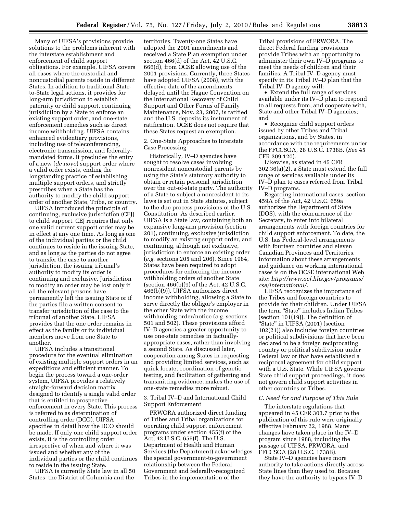Many of UIFSA's provisions provide solutions to the problems inherent with the interstate establishment and enforcement of child support obligations. For example, UIFSA covers all cases where the custodial and noncustodial parents reside in different States. In addition to traditional Stateto-State legal actions, it provides for long-arm jurisdiction to establish paternity or child support, continuing jurisdiction by a State to enforce an existing support order, and one-state enforcement remedies such as direct income withholding. UIFSA contains enhanced evidentiary provisions, including use of teleconferencing, electronic transmission, and federallymandated forms. It precludes the entry of a new (*de novo*) support order where a valid order exists, ending the longstanding practice of establishing multiple support orders, and strictly prescribes when a State has the authority to modify the child support order of another State, Tribe, or country.

UIFSA introduced the principle of continuing, exclusive jurisdiction (CEJ) to child support. CEJ requires that only one valid current support order may be in effect at any one time. As long as one of the individual parties or the child continues to reside in the issuing State, and as long as the parties do not agree to transfer the case to another jurisdiction, the issuing tribunal's authority to modify its order is continuing and exclusive. Jurisdiction to modify an order may be lost only if all the relevant persons have permanently left the issuing State or if the parties file a written consent to transfer jurisdiction of the case to the tribunal of another State. UIFSA provides that the one order remains in effect as the family or its individual members move from one State to another.

UIFSA includes a transitional procedure for the eventual elimination of existing multiple support orders in an expeditious and efficient manner. To begin the process toward a one-order system, UIFSA provides a relatively straight-forward decision matrix designed to identify a single valid order that is entitled to prospective enforcement in every State. This process is referred to as determination of controlling order (DCO). UIFSA specifies in detail how the DCO should be made. If only one child support order exists, it is the controlling order irrespective of when and where it was issued and whether any of the individual parties or the child continues to reside in the issuing State.

UIFSA is currently State law in all 50 States, the District of Columbia and the

territories. Twenty-one States have adopted the 2001 amendments and received a State Plan exemption under section 466(d) of the Act, 42 U.S.C. 666(d), from OCSE allowing use of the 2001 provisions. Currently, three States have adopted UIFSA (2008), with the effective date of the amendments delayed until the Hague Convention on the International Recovery of Child Support and Other Forms of Family Maintenance, Nov. 23, 2007, is ratified and the U.S. deposits its instrument of ratification. OCSE does not require that these States request an exemption.

2. One-State Approaches to Interstate Case Processing

Historically, IV–D agencies have sought to resolve cases involving nonresident noncustodial parents by using the State's statutory authority to obtain or retain personal jurisdiction over the out-of-state party. The authority of a State to subject a nonresident to its laws is set out in State statutes, subject to the due process provisions of the U.S. Constitution. As described earlier, UIFSA is a State law, containing both an expansive long-arm provision (section 201), continuing, exclusive jurisdiction to modify an existing support order, and continuing, although not exclusive, jurisdiction to enforce an existing order (*e.g.* sections 205 and 206). Since 1984, States have been required to adopt procedures for enforcing the income withholding orders of another State (section  $466(b)(9)$  of the Act, 42 U.S.C. 466(b)(9)). UIFSA authorizes direct income withholding, allowing a State to serve directly the obligor's employer in the other State with the income withholding order/notice (*e.g.* sections 501 and 502). These provisions afford IV–D agencies a greater opportunity to use one-state remedies in factuallyappropriate cases, rather than involving a second State. As discussed later, cooperation among States in requesting and providing limited services, such as quick locate, coordination of genetic testing, and facilitation of gathering and transmitting evidence, makes the use of one-state remedies more robust.

3. Tribal IV–D and International Child Support Enforcement

PRWORA authorized direct funding of Tribes and Tribal organizations for operating child support enforcement programs under section 455(f) of the Act, 42 U.S.C. 655(f). The U.S. Department of Health and Human Services (the Department) acknowledges the special government-to-government relationship between the Federal Government and federally-recognized Tribes in the implementation of the

Tribal provisions of PRWORA. The direct Federal funding provisions provide Tribes with an opportunity to administer their own IV–D programs to meet the needs of children and their families. A Tribal IV–D agency must specify in its Tribal IV–D plan that the Tribal IV–D agency will:

• Extend the full range of services available under its IV–D plan to respond to all requests from, and cooperate with, State and other Tribal IV–D agencies; and

• Recognize child support orders issued by other Tribes and Tribal organizations, and by States, in accordance with the requirements under the FFCCSOA, 28 U.S.C. 1738B. (*See* 45 CFR 309.120).

Likewise, as stated in 45 CFR 302.36(a)(2), a State must extend the full range of services available under its IV–D plan to cases referred from Tribal IV–D programs.

Regarding international cases, section 459A of the Act, 42 U.S.C. 659a authorizes the Department of State (DOS), with the concurrence of the Secretary, to enter into bilateral arrangements with foreign countries for child support enforcement. To date, the U.S. has Federal-level arrangements with fourteen countries and eleven Canadian Provinces and Territories. Information about these arrangements and guidance on working international cases is on the OCSE international Web site: *http://www.acf.hhs.gov/programs/ cse/international/*.

UIFSA recognizes the importance of the Tribes and foreign countries to provide for their children. Under UIFSA the term "State" includes Indian Tribes (section 101(19)). The definition of "State" in UIFSA (2001) (section 102(21)) also includes foreign countries or political subdivisions that have been declared to be a foreign reciprocating country or political subdivision under Federal law or that have established a reciprocal agreement for child support with a U.S. State. While UIFSA governs State child support proceedings, it does not govern child support activities in other countries or Tribes.

#### *C. Need for and Purpose of This Rule*

The interstate regulations that appeared in 45 CFR 303.7 prior to the publication of this rule were originally effective February 22, 1988. Many changes have taken place in the IV–D program since 1988, including the passage of UIFSA, PRWORA, and FFCCSOA (28 U.S.C. 1738B).

State IV–D agencies have more authority to take actions directly across State lines than they used to. Because they have the authority to bypass IV–D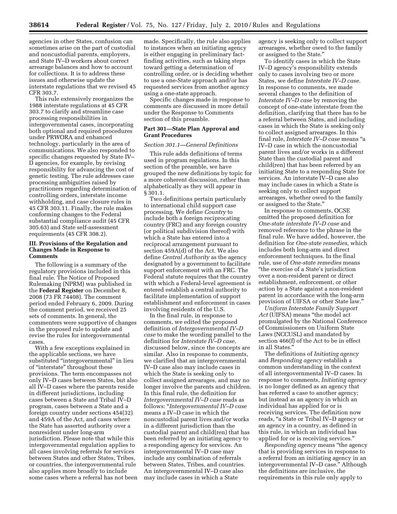agencies in other States, confusion can sometimes arise on the part of custodial and noncustodial parents, employers, and State IV–D workers about correct arrearage balances and how to account for collections. It is to address these issues and otherwise update the interstate regulations that we revised 45 CFR 303.7.

This rule extensively reorganizes the 1988 interstate regulations at 45 CFR 303.7 to clarify and streamline case processing responsibilities in intergovernmental cases, incorporating both optional and required procedures under PRWORA and enhanced technology, particularly in the area of communications. We also responded to specific changes requested by State IV– D agencies, for example, by revising responsibility for advancing the cost of genetic testing. The rule addresses case processing ambiguities raised by practitioners regarding determination of controlling orders, interstate income withholding, and case closure rules in 45 CFR 303.11. Finally, the rule makes conforming changes to the Federal substantial compliance audit (45 CFR 305.63) and State self-assessment requirements (45 CFR 308.2).

## **III. Provisions of the Regulation and Changes Made in Response to Comments**

The following is a summary of the regulatory provisions included in this final rule. The Notice of Proposed Rulemaking (NPRM) was published in the **Federal Register** on December 8, 2008 (73 FR 74408). The comment period ended February 6, 2009. During the comment period, we received 25 sets of comments. In general, the commenters were supportive of changes in the proposed rule to update and revise the rules for intergovernmental cases.

With a few exceptions explained in the applicable sections, we have substituted "intergovernmental" in lieu of ''interstate'' throughout these provisions. The term encompasses not only IV–D cases between States, but also all IV–D cases where the parents reside in different jurisdictions, including cases between a State and Tribal IV–D program, cases between a State and a foreign country under sections 454(32) and 459A of the Act, and cases where the State has asserted authority over a nonresident under long-arm jurisdiction. Please note that while this intergovernmental regulation applies to all cases involving referrals for services between States and other States, Tribes, or countries, the intergovernmental rule also applies more broadly to include some cases where a referral has not been

made. Specifically, the rule also applies to instances when an initiating agency is either engaging in preliminary factfinding activities, such as taking steps toward getting a determination of controlling order, or is deciding whether to use a one-State approach and/or has requested services from another agency using a one-state approach.

Specific changes made in response to comments are discussed in more detail under the Response to Comments section of this preamble.

#### **Part 301—State Plan Approval and Grant Procedures**

## *Section 301.1—General Definitions*

This rule adds definitions of terms used in program regulations. In this section of the preamble, we have grouped the new definitions by topic for a more coherent discussion, rather than alphabetically as they will appear in § 301.1.

Two definitions pertain particularly to international child support case processing. We define *Country* to include both a foreign reciprocating country (FRC) and any foreign country (or political subdivision thereof) with which a State has entered into a reciprocal arrangement pursuant to section 459A(d) of the Act. We also define *Central Authority* as the agency designated by a government to facilitate support enforcement with an FRC. The Federal statute requires that the country with which a Federal-level agreement is entered establish a central authority to facilitate implementation of support establishment and enforcement in cases involving residents of the U.S.

In the final rule, in response to comments, we edited the proposed definition of *Intergovernmental IV–D case* to make the wording parallel to the definition for *Interstate IV–D case,*  discussed below, since the concepts are similar. Also in response to comments, we clarified that an intergovernmental IV–D case also may include cases in which the State is seeking only to collect assigned arrearages, and may no longer involve the parents and children. In this final rule, the definition for *Intergovernmental IV–D case* reads as follows: ''*Intergovernmental IV–D case*  means a IV–D case in which the noncustodial parent lives and/or works in a different jurisdiction than the custodial parent and child(ren) that has been referred by an initiating agency to a responding agency for services. An intergovernmental IV–D case may include any combination of referrals between States, Tribes, and countries. An intergovernmental IV–D case also may include cases in which a State

agency is seeking only to collect support arrearages, whether owed to the family or assigned to the State.''

To identify cases in which the State IV–D agency's responsibility extends only to cases involving two or more States, we define *Interstate IV–D case.*  In response to comments, we made several changes to the definition of *Interstate IV–D case* by removing the concept of one-state interstate from the definition, clarifying that there has to be a referral between States, and including cases in which the State is seeking only to collect assigned arrearages. In this final rule, *Interstate IV–D case* means ''a IV–D case in which the noncustodial parent lives and/or works in a different State than the custodial parent and child(ren) that has been referred by an initiating State to a responding State for services. An interstate IV–D case also may include cases in which a State is seeking only to collect support arrearages, whether owed to the family or assigned to the State.''

In response to comments, OCSE omitted the proposed definition for *One-state interstate IV–D case* and removed reference to the phrase in the final rule. We have added, however, the definition for *One-state remedies,* which includes both long-arm and direct enforcement techniques. In the final rule, use of *One-state remedies* means ''the exercise of a State's jurisdiction over a non-resident parent or direct establishment, enforcement, or other action by a State against a non-resident parent in accordance with the long-arm provision of UIFSA or other State law.''

*Uniform Interstate Family Support Act* (UIFSA) means ''the model act promulgated by the National Conference of Commissioners on Uniform State Laws (NCCUSL) and mandated by section 466(f) of the Act to be in effect in all States.''

The definitions of *Initiating agency*  and *Responding agency* establish a common understanding in the context of all intergovernmental IV–D cases. In response to comments, *Initiating agency*  is no longer defined as an agency that has referred a case to another agency; but instead as an agency in which an individual has applied for or is receiving services. The definition now reads, ''a State or Tribal IV–D agency or an agency in a country, as defined in this rule, in which an individual has applied for or is receiving services.''

*Responding agency* means ''the agency that is providing services in response to a referral from an initiating agency in an intergovernmental IV–D case.'' Although the definitions are inclusive, the requirements in this rule only apply to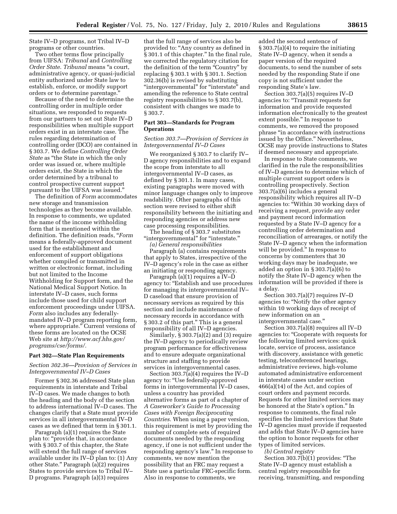State IV–D programs, not Tribal IV–D programs or other countries.

Two other terms flow principally from UIFSA: *Tribunal* and *Controlling Order State. Tribunal* means ''a court, administrative agency, or quasi-judicial entity authorized under State law to establish, enforce, or modify support orders or to determine parentage.''

Because of the need to determine the controlling order in multiple order situations, we responded to requests from our partners to set out State IV–D responsibilities when multiple support orders exist in an interstate case. The rules regarding determination of controlling order (DCO) are contained in § 303.7. We define *Controlling Order State* as ''the State in which the only order was issued or, where multiple orders exist, the State in which the order determined by a tribunal to control prospective current support pursuant to the UIFSA was issued.''

The definition of *Form* accommodates new storage and transmission technologies as they become available. In response to comments, we updated the name of the income withholding form that is mentioned within the definition. The definition reads, ''*Form*  means a federally-approved document used for the establishment and enforcement of support obligations whether compiled or transmitted in written or electronic format, including but not limited to the Income Withholding for Support form, and the National Medical Support Notice. In interstate IV–D cases, such forms include those used for child support enforcement proceedings under UIFSA. *Form* also includes any federallymandated IV–D program reporting form, where appropriate.'' Current versions of these forms are located on the OCSE Web site at *http://www.acf.hhs.gov/ programs/cse/forms/.* 

#### **Part 302—State Plan Requirements**

## *Section 302.36—Provision of Services in Intergovernmental IV–D Cases*

Former § 302.36 addressed State plan requirements in interstate and Tribal IV–D cases. We made changes to both the heading and the body of the section to address international IV–D cases. The changes clarify that a State must provide services in all intergovernmental IV–D cases as we defined that term in § 301.1.

Paragraph (a)(1) requires the State plan to: "provide that, in accordance with § 303.7 of this chapter, the State will extend the full range of services available under its IV– $\overline{D}$  plan to: (1) Any other State.'' Paragraph (a)(2) requires States to provide services to Tribal IV– D programs. Paragraph (a)(3) requires

that the full range of services also be provided to: ''Any country as defined in § 301.1 of this chapter.'' In the final rule, we corrected the regulatory citation for the definition of the term ''Country'' by replacing § 303.1 with § 301.1. Section 302.36(b) is revised by substituting ''intergovernmental'' for ''interstate'' and amending the reference to State central registry responsibilities to § 303.7(b), consistent with changes we made to § 303.7.

#### **Part 303—Standards for Program Operations**

## *Section 303.7—Provision of Services in Intergovernmental IV–D Cases*

We reorganized § 303.7 to clarify IV– D agency responsibilities and to expand the scope from interstate to all intergovernmental IV–D cases, as defined by § 301.1. In many cases, existing paragraphs were moved with minor language changes only to improve readability. Other paragraphs of this section were revised to either shift responsibility between the initiating and responding agencies or address new case processing responsibilities.

The heading of § 303.7 substitutes "intergovernmental" for "interstate."

*(a) General responsibilities* 

Paragraph (a) contains requirements that apply to States, irrespective of the IV–D agency's role in the case as either an initiating or responding agency.

Paragraph (a)(1) requires a IV–D agency to: ''Establish and use procedures for managing its intergovernmental IV– D caseload that ensure provision of necessary services as required by this section and include maintenance of necessary records in accordance with § 303.2 of this part.'' This is a general responsibility of all IV–D agencies.

Similarly, § 303.7(a)(2) and (3) require the IV–D agency to periodically review program performance for effectiveness and to ensure adequate organizational structure and staffing to provide services in intergovernmental cases.

Section  $303.7(a)(4)$  requires the IV–D agency to: ''Use federally-approved forms in intergovernmental IV–D cases, unless a country has provided alternative forms as part of a chapter of *A Caseworker's Guide to Processing Cases with Foreign Reciprocating Countries.* When using a paper version, this requirement is met by providing the number of complete sets of required documents needed by the responding agency, if one is not sufficient under the responding agency's law.'' In response to comments, we now mention the possibility that an FRC may request a State use a particular FRC-specific form. Also in response to comments, we

added the second sentence of § 303.7(a)(4) to require the initiating State IV–D agency, when it sends a paper version of the required documents, to send the number of sets needed by the responding State if one copy is not sufficient under the responding State's law.

Section 303.7(a)(5) requires IV–D agencies to: ''Transmit requests for information and provide requested information electronically to the greatest extent possible.'' In response to comments, we removed the proposed phrase ''in accordance with instructions issued by the Office.'' Nevertheless, OCSE may provide instructions to States if deemed necessary and appropriate.

In response to State comments, we clarified in the rule the responsibilities of IV–D agencies to determine which of multiple current support orders is controlling prospectively. Section 303.7(a)(6) includes a general responsibility which requires all IV–D agencies to: ''Within 30 working days of receiving a request, provide any order and payment record information requested by a State IV–D agency for a controlling order determination and reconciliation of arrearages, or notify the State IV–D agency when the information will be provided.'' In response to concerns by commenters that 30 working days may be inadequate, we added an option in § 303.7(a)(6) to notify the State IV–D agency when the information will be provided if there is a delay.

Section 303.7(a)(7) requires IV–D agencies to: ''Notify the other agency within 10 working days of receipt of new information on an intergovernmental case.''

Section 303.7(a)(8) requires all IV–D agencies to: ''Cooperate with requests for the following limited services: quick locate, service of process, assistance with discovery, assistance with genetic testing, teleconferenced hearings, administrative reviews, high-volume automated administrative enforcement in interstate cases under section 466(a)(14) of the Act, and copies of court orders and payment records. Requests for other limited services may be honored at the State's option.'' In response to comments, the final rule specifies the limited services that State IV–D agencies must provide if requested and adds that State IV–D agencies have the option to honor requests for other types of limited services.

*(b) Central registry* 

Section 303.7(b)(1) provides: "The State IV–D agency must establish a central registry responsible for receiving, transmitting, and responding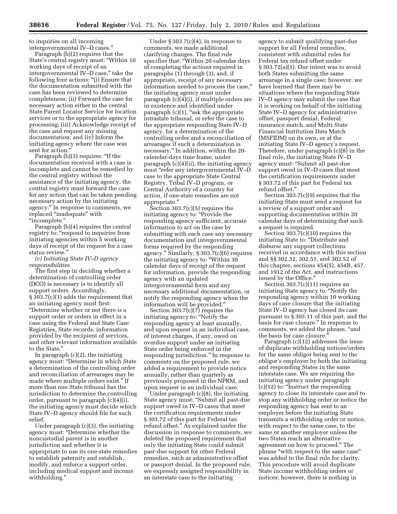to inquiries on all incoming intergovernmental IV–D cases.''

Paragraph (b)(2) requires that the State's central registry must: ''Within 10 working days of receipt of an intergovernmental IV–D case,'' take the following four actions: "(i) Ensure that the documentation submitted with the case has been reviewed to determine completeness; (ii) Forward the case for necessary action either to the central State Parent Locator Service for location services or to the appropriate agency for processing; (iii) Acknowledge receipt of the case and request any missing documentation; and (iv) Inform the initiating agency where the case was sent for action.<sup>'</sup>

Paragraph (b)(3) requires: "If the documentation received with a case is incomplete and cannot be remedied by the central registry without the assistance of the initiating agency, the central registry must forward the case for any action that can be taken pending necessary action by the initiating agency.'' In response to comments, we replaced ''inadequate'' with ''incomplete.''

Paragraph (b)(4) requires the central registry to: "respond to inquiries from initiating agencies within 5 working days of receipt of the request for a case status review.''

*(c) Initiating State IV–D agency responsibilities* 

The first step in deciding whether a determination of controlling order (DCO) is necessary is to identify all support orders. Accordingly, § 303.7(c)(1) adds the requirement that an initiating agency must first: ''Determine whether or not there is a support order or orders in effect in a case using the Federal and State Case Registries, State records, information provided by the recipient of services, and other relevant information available to the State.''

In paragraph  $(c)(2)$ , the initiating agency must: ''Determine in which State a determination of the controlling order and reconciliation of arrearages may be made where multiple orders exist.'' If more than one State tribunal has the jurisdiction to determine the controlling order, pursuant to paragraph (c)(4)(i), the initiating agency must decide which State IV–D agency should file for such relief.

Under paragraph (c)(3), the initiating agency must: ''Determine whether the noncustodial parent is in another jurisdiction and whether it is appropriate to use its one-state remedies to establish paternity and establish, modify, and enforce a support order, including medical support and income withholding.''

Under § 303.7(c)(4), in response to comments, we made additional clarifying changes. The final rule specifies that: ''Within 20 calendar days of completing the actions required in paragraphs (1) through (3), and, if appropriate, receipt of any necessary information needed to process the case,'' the initiating agency must under paragraph (c)(4)(i), if multiple orders are in existence and identified under paragraph (c)(1), "ask the appropriate intrastate tribunal, or refer the case to the appropriate responding State IV–D agency, for a determination of the controlling order and a reconciliation of arrearages if such a determination is necessary.'' In addition, within the 20 calendar-days time frame, under paragraph (c)(4)(ii), the initiating agency must "refer any intergovernmental IV-D case to the appropriate State Central Registry, Tribal IV–D program, or Central Authority of a country for action, if one-state remedies are not appropriate.''

Section 303.7(c)(5) requires the initiating agency to: "Provide the responding agency sufficient, accurate information to act on the case by submitting with each case any necessary documentation and intergovernmental forms required by the responding agency.'' Similarly, § 303.7(c)(6) requires the initiating agency to: ''Within 30 calendar days of receipt of the request for information, provide the responding agency with an updated intergovernmental form and any necessary additional documentation, or notify the responding agency when the information will be provided.''

Section 303.7(c)(7) requires the initiating agency to: ''Notify the responding agency at least annually, and upon request in an individual case, of interest charges, if any, owed on overdue support under an initiating State order being enforced in the responding jurisdiction.'' In response to comments on the proposed rule, we added a requirement to provide notice annually, rather than quarterly as previously proposed in the NPRM, and upon request in an individual case.

Under paragraph (c)(8), the initiating State agency must: ''Submit all past-due support owed in IV–D cases that meet the certification requirements under § 303.72 of this part for Federal tax refund offset.'' As explained under the discussion in response to comments, we deleted the proposed requirement that only the initiating State could submit past-due support for other Federal remedies, such as administrative offset or passport denial. In the proposed rule, we expressly assigned responsibility in an interstate case to the initiating

agency to submit qualifying past-due support for all Federal remedies, consistent with submittal rules for Federal tax refund offset under § 303.72(a)(1). Our intent was to avoid both States submitting the same arrearage in a single case; however, we have learned that there may be situations where the responding State IV–D agency may submit the case that it is working on behalf of the initiating State IV–D agency for administrative offset, passport denial, Federal insurance match, and Multi State Financial Institution Data Match (MSFIDM) on its own, or at the initiating State IV–D agency's request. Therefore, under paragraph (c)(8) in the final rule, the initiating State IV–D agency must: ''Submit all past-due support owed in IV–D cases that meet the certification requirements under § 303.72 of this part for Federal tax refund offset.''

Section 303.7(c)(9) requires that the initiating State must send a request for a review of a support order and supporting documentation within 20 calendar days of determining that such a request is required.

Section 303.7(c)(10) requires the initiating State to: ''Distribute and disburse any support collections received in accordance with this section and §§ 302.32, 302.51, and 302.52 of this chapter, sections 454(5), 454B, 457, and 1912 of the Act, and instructions issued by the Office.''

Section 303.7(c)(11) requires an initiating State agency to: ''Notify the responding agency within 10 working days of case closure that the initiating State IV–D agency has closed its case pursuant to § 303.11 of this part, and the basis for case closure.'' In response to comments, we added the phrase, "and the basis for case closure.''

Paragraph (c)(12) addresses the issue of duplicate withholding notices/orders for the same obligor being sent to the obligor's employer by both the initiating and responding States in the same interstate case. We are requiring the initiating agency under paragraph (c)(12) to: ''Instruct the responding agency to close its interstate case and to stop any withholding order or notice the responding agency has sent to an employer before the initiating State transmits a withholding order or notice, with respect to the same case, to the same or another employer unless the two States reach an alternative agreement on how to proceed.'' The phrase ''with respect to the same case'' was added to the final rule for clarity. This procedure will avoid duplicate State income withholding orders or notices; however, there is nothing in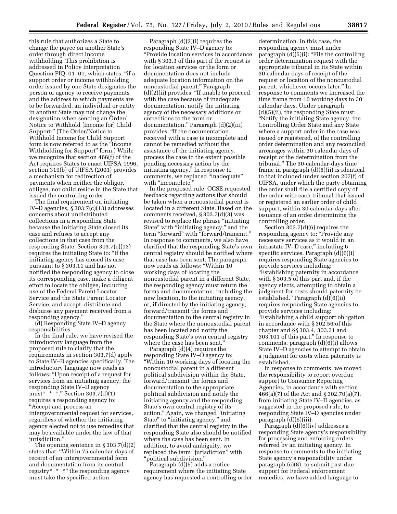this rule that authorizes a State to change the payee on another State's order through direct income withholding. This prohibition is addressed in Policy Interpretation Question PIQ–01–01, which states, "if a support order or income withholding order issued by one State designates the person or agency to receive payments and the address to which payments are to be forwarded, an individual or entity in another State may not change the designation when sending an Order/ Notice to Withhold [Income for] Child Support.'' (The Order/Notice to Withhold Income for Child Support form is now referred to as the ''Income Withholding for Support'' form.) While we recognize that section 466(f) of the Act requires States to enact UIFSA 1996, section 319(b) of UIFSA (2001) provides a mechanism for redirection of payments when neither the obligor, obligee, nor child reside in the State that issued the controlling order.

The final requirement on initiating IV–D agencies, § 303.7(c)(13) addresses concerns about undistributed collections in a responding State because the initiating State closed its case and refuses to accept any collections in that case from the responding State. Section 303.7(c)(13) requires the initiating State to: ''If the initiating agency has closed its case pursuant to § 303.11 and has not notified the responding agency to close its corresponding case, make a diligent effort to locate the obligee, including use of the Federal Parent Locator Service and the State Parent Locator Service, and accept, distribute and disburse any payment received from a responding agency.''

(d) Responding State IV–D agency responsibilities

In the final rule, we have revised the introductory language from the proposed rule to clarify that the requirements in section 303.7(d) apply to State IV–D agencies specifically. The introductory language now reads as follows: ''Upon receipt of a request for services from an initiating agency, the responding State IV–D agency must\* \* \*.'' Section 303.7(d)(1) requires a responding agency to: ''Accept and process an intergovernmental request for services, regardless of whether the initiating agency elected not to use remedies that may be available under the law of that jurisdiction.''

The opening sentence in § 303.7(d)(2) states that: ''Within 75 calendar days of receipt of an intergovernmental form and documentation from its central registry\*  $*$  \*" the responding agency must take the specified action.

Paragraph (d)(2)(i) requires the responding State IV–D agency to: ''Provide location services in accordance with § 303.3 of this part if the request is for location services or the form or documentation does not include adequate location information on the noncustodial parent.'' Paragraph (d)(2)(ii) provides: ''If unable to proceed with the case because of inadequate documentation, notify the initiating agency of the necessary additions or corrections to the form or documentation.'' Paragraph (d)(2)(iii) provides: ''If the documentation received with a case is incomplete and cannot be remedied without the assistance of the initiating agency, process the case to the extent possible pending necessary action by the initiating agency.'' In response to comments, we replaced ''inadequate'' with "incomplete."

In the proposed rule, OCSE requested feedback regarding actions that should be taken when a noncustodial parent is located in a different State. Based on the comments received, § 303.7(d)(3) was revised to replace the phrase "initiating" State'' with ''initiating agency,'' and the term "forward" with "forward/transmit." In response to comments, we also have clarified that the responding State's own central registry should be notified where that case has been sent. The paragraph now reads as follows: ''Within 10 working days of locating the noncustodial parent in a different State, the responding agency must return the forms and documentation, including the new location, to the initiating agency, or, if directed by the initiating agency, forward/transmit the forms and documentation to the central registry in the State where the noncustodial parent has been located and notify the responding State's own central registry where the case has been sent.''

Paragraph (d)(4) requires the responding State IV–D agency to: ''Within 10 working days of locating the noncustodial parent in a different political subdivision within the State, forward/transmit the forms and documentation to the appropriate political subdivision and notify the initiating agency and the responding State's own central registry of its action.'' Again, we changed ''initiating State" to "initiating agency," and clarified that the central registry in the responding State also should be notified where the case has been sent. In addition, to avoid ambiguity, we replaced the term "jurisdiction" with ''political subdivision.''

Paragraph (d)(5) adds a notice requirement where the initiating State agency has requested a controlling order

determination. In this case, the responding agency must under paragraph  $(d)(5)(i)$ : "File the controlling" order determination request with the appropriate tribunal in its State within 30 calendar days of receipt of the request or location of the noncustodial parent, whichever occurs later.'' In response to comments we increased the time frame from 10 working days to 30 calendar days. Under paragraph (d)(5)(ii), the responding State must: ''Notify the initiating State agency, the Controlling Order State and any State where a support order in the case was issued or registered, of the controlling order determination and any reconciled arrearages within 30 calendar days of receipt of the determination from the tribunal.'' The 30-calendar-days time frame in paragraph (d)(5)(ii) is identical to that included under section 207(f) of UIFSA, under which the party obtaining the order shall file a certified copy of the order with each tribunal that issued or registered an earlier order of child support, within 30 calendar days after issuance of an order determining the controlling order.

Section 303.7(d)(6) requires the responding agency to: "Provide any necessary services as it would in an intrastate IV-D case," including 6 specific services. Paragraph (d)(6)(i) requires responding State agencies to provide services including: ''Establishing paternity in accordance with § 303.5 of this part and, if the agency elects, attempting to obtain a judgment for costs should paternity be established.'' Paragraph (d)(6)(ii) requires responding State agencies to provide services including: ''Establishing a child support obligation in accordance with § 302.56 of this chapter and §§ 303.4, 303.31 and 303.101 of this part.'' In response to comments, paragraph (d)(6)(i) allows State IV–D agencies to attempt to obtain a judgment for costs when paternity is established.

In response to comments, we moved the responsibility to report overdue support to Consumer Reporting Agencies, in accordance with section 466(a)(7) of the Act and § 302.70(a)(7), from initiating State IV–D agencies, as suggested in the proposed rule, to responding State IV–D agencies under paragraph (d)(6)(iii).

Paragraph (d)(6)(iv) addresses a responding State agency's responsibility for processing and enforcing orders referred by an initiating agency. In response to comments to the initiating State agency's responsibility under paragraph (c)(8), to submit past due support for Federal enforcement remedies, we have added language to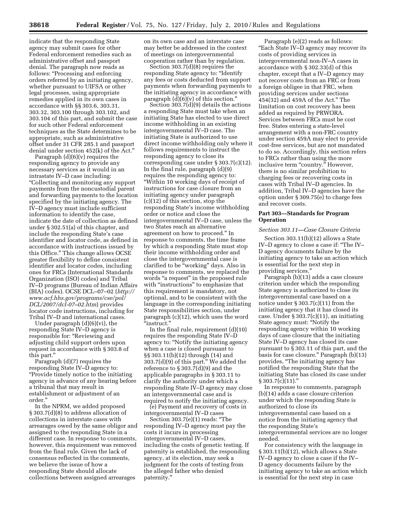indicate that the responding State agency may submit cases for other Federal enforcement remedies such as administrative offset and passport denial. The paragraph now reads as follows: ''Processing and enforcing orders referred by an initiating agency, whether pursuant to UIFSA or other legal processes, using appropriate remedies applied in its own cases in accordance with §§ 303.6, 303.31, 303.32, 303.100 through 303.102, and 303.104 of this part, and submit the case for such other Federal enforcement techniques as the State determines to be appropriate, such as administrative offset under 31 CFR 285.1 and passport denial under section 452(k) of the Act.''

Paragraph (d)(6)(v) requires the responding agency to provide any necessary services as it would in an intrastate IV–D case including: ''Collecting and monitoring any support payments from the noncustodial parent and forwarding payments to the location specified by the initiating agency. The IV–D agency must include sufficient information to identify the case, indicate the date of collection as defined under § 302.51(a) of this chapter, and include the responding State's case identifier and locator code, as defined in accordance with instructions issued by this Office.'' This change allows OCSE greater flexibility to define consistent identifier and locator codes, including ones for FRCs (International Standards Organization (ISO) codes) and Tribal IV–D programs (Bureau of Indian Affairs (BIA) codes). OCSE DCL–07–02 (*http:// www.acf.hhs.gov/programs/cse/pol/ DCL/2007/dcl-07–02.htm*) provides locator code instructions, including for Tribal IV–D and international cases.

Under paragraph (d)(6)(vi), the responding State IV–D agency is responsible for: ''Reviewing and adjusting child support orders upon request in accordance with § 303.8 of this part.''

Paragraph (d)(7) requires the responding State IV–D agency to: ''Provide timely notice to the initiating agency in advance of any hearing before a tribunal that may result in establishment or adjustment of an order.''

In the NPRM, we added proposed § 303.7(d)(8) to address allocation of collections in interstate cases with arrearages owed by the same obligor and assigned to the responding State in a different case. In response to comments, however, this requirement was removed from the final rule. Given the lack of consensus reflected in the comments, we believe the issue of how a responding State should allocate collections between assigned arrearages

on its own case and an interstate case may better be addressed in the context of meetings on intergovernmental cooperation rather than by regulation.

Section 303.7(d)(8) requires the responding State agency to: ''Identify any fees or costs deducted from support payments when forwarding payments to the initiating agency in accordance with paragraph  $(d)(6)(v)$  of this section.'

Section 303.7(d)(9) details the actions a responding State must take when an initiating State has elected to use direct income withholding in an existing intergovernmental IV–D case. The initiating State is authorized to use direct income withholding only where it follows requirements to instruct the responding agency to close its corresponding case under § 303.7(c)(12). In the final rule, paragraph (d)(9) requires the responding agency to: ''Within 10 working days of receipt of instructions for case closure from an initiating agency under paragraph (c)(12) of this section, stop the responding State's income withholding order or notice and close the intergovernmental IV–D case, unless the two States reach an alternative agreement on how to proceed.'' In response to comments, the time frame by which a responding State must stop their income withholding order and close the intergovernmental case is clarified to be ''working'' days. Also in response to comments, we replaced the words "a request" in the proposed rule with "instructions" to emphasize that this requirement is mandatory, not optional, and to be consistent with the language in the corresponding initiating State responsibilities section, under paragraph (c)(12), which uses the word ''instruct.''

In the final rule, requirement (d)(10) requires the responding State IV–D agency to: ''Notify the initiating agency when a case is closed pursuant to §§ 303.11(b)(12) through (14) and 303.7(d)(9) of this part.'' We added the reference to  $\S 303.7(d)(9)$  and the applicable paragraphs in § 303.11 to clarify the authority under which a responding State IV–D agency may close an intergovernmental case and is required to notify the initiating agency.

(e) Payment and recovery of costs in intergovernmental IV–D cases

Section 303.7(e)(1) reads: "The responding IV–D agency must pay the costs it incurs in processing intergovernmental IV–D cases, including the costs of genetic testing. If paternity is established, the responding agency, at its election, may seek a judgment for the costs of testing from the alleged father who denied paternity.''

Paragraph (e)(2) reads as follows: ''Each State IV–D agency may recover its costs of providing services in intergovernmental non-IV–A cases in accordance with § 302.33(d) of this chapter, except that a IV–D agency may not recover costs from an FRC or from a foreign obligee in that FRC, when providing services under sections 454(32) and 459A of the Act.'' The limitation on cost recovery has been added as required by PRWORA. Services between FRCs must be cost free. States entering a state-level arrangement with a non-FRC country under section 459A may elect to provide cost-free services, but are not mandated to do so. Accordingly, this section refers to FRCs rather than using the more inclusive term "country." However, there is no similar prohibition to charging fees or recovering costs in cases with Tribal IV–D agencies. In addition, Tribal IV–D agencies have the option under § 309.75(e) to charge fees and recover costs.

## **Part 303—Standards for Program Operation**

#### *Section 303.11—Case Closure Criteria*

Section 303.11(b)(12) allows a State IV–D agency to close a case if: ''The IV– D agency documents failure by the initiating agency to take an action which is essential for the next step in providing services.''

Paragraph (b)(13) adds a case closure criterion under which the responding State agency is authorized to close its intergovernmental case based on a notice under  $\S 303.7(c)(11)$  from the initiating agency that it has closed its case. Under  $\S 303.7(c)(11)$ , an initiating State agency must: ''Notify the responding agency within 10 working days of case closure that the initiating State IV–D agency has closed its case pursuant to § 303.11 of this part, and the basis for case closure.'' Paragraph (b)(13) provides, ''The initiating agency has notified the responding State that the initiating State has closed its case under  $§ 303.7(c)(11)."$ 

In response to comments, paragraph (b)(14) adds a case closure criterion under which the responding State is authorized to close its intergovernmental case based on a notice from the initiating agency that the responding State's intergovernmental services are no longer needed.

For consistency with the language in § 303.11(b)(12), which allows a State IV–D agency to close a case if the IV– D agency documents failure by the initiating agency to take an action which is essential for the next step in case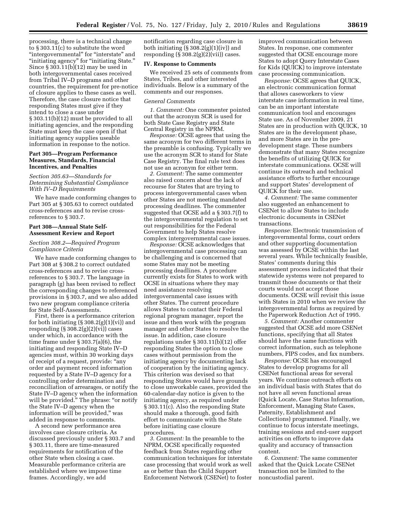processing, there is a technical change to § 303.11(c) to substitute the word ''intergovernmental'' for ''interstate'' and "initiating agency" for "initiating State." Since  $\S 303.11(b)(12)$  may be used in both intergovernmental cases received from Tribal IV–D programs and other countries, the requirement for pre-notice of closure applies to these cases as well. Therefore, the case closure notice that responding States must give if they intend to close a case under § 303.11(b)(12) must be provided to all initiating agencies, and the responding State must keep the case open if that initiating agency supplies useable information in response to the notice.

## **Part 305—Program Performance Measures, Standards, Financial Incentives, and Penalties**

## *Section 305.63—Standards for Determining Substantial Compliance With IV–D Requirements*

We have made conforming changes to Part 305 at § 305.63 to correct outdated cross-references and to revise crossreferences to § 303.7.

#### **Part 308—Annual State Self-Assessment Review and Report**

## *Section 308.2—Required Program Compliance Criteria*

We have made conforming changes to Part 308 at § 308.2 to correct outdated cross-references and to revise crossreferences to § 303.7. The language in paragraph (g) has been revised to reflect the corresponding changes to referenced provisions in § 303.7, and we also added two new program compliance criteria for State Self-Assessments.

First, there is a performance criterion for both initiating  $(\S 308.2(g)(1)(vi))$  and responding  $(\S 308.2(g)(2)(vi))$  cases under which, in accordance with the time frame under § 303.7(a)(6), the initiating and responding State IV–D agencies must, within 30 working days of receipt of a request, provide: ''any order and payment record information requested by a State IV–D agency for a controlling order determination and reconciliation of arrearages, or notify the State IV–D agency when the information will be provided." The phrase: "or notify the State IV–D agency when the information will be provided,'' was added in response to comments.

A second new performance area involves case closure criteria. As discussed previously under § 303.7 and § 303.11, there are time-measured requirements for notification of the other State when closing a case. Measurable performance criteria are established where we impose time frames. Accordingly, we add

notification regarding case closure in both initiating  $(\S 308.2(g)(1)(iv))$  and responding  $(\S 308.2(g)(2)(vii))$  cases.

## **IV. Response to Comments**

We received 25 sets of comments from States, Tribes, and other interested individuals. Below is a summary of the comments and our responses.

#### *General Comments*

*1. Comment:* One commenter pointed out that the acronym SCR is used for both State Case Registry and State Central Registry in the NPRM.

*Response:* OCSE agrees that using the same acronym for two different terms in the preamble is confusing. Typically we use the acronym SCR to stand for State Case Registry. The final rule text does not use an acronym for either term.

*2. Comment:* The same commenter also raised concern about the lack of recourse for States that are trying to process intergovernmental cases when other States are not meeting mandated processing deadlines. The commenter suggested that OCSE add a § 303.7(f) to the intergovernmental regulation to set out responsibilities for the Federal Government to help States resolve complex intergovernmental case issues.

*Response:* OCSE acknowledges that intergovernmental case processing can be challenging and is concerned that some States may not be meeting processing deadlines. A procedure currently exists for States to work with OCSE in situations where they may need assistance resolving intergovernmental case issues with other States. The current procedure allows States to contact their Federal regional program manager, report the issue and then work with the program manager and other States to resolve the issue. In addition, case closure regulations under § 303.11(b)(12) offer responding States the option to close cases without permission from the initiating agency by documenting lack of cooperation by the initiating agency. This criterion was devised so that responding States would have grounds to close unworkable cases, provided the 60-calendar-day notice is given to the initiating agency, as required under § 303.11(c). Also the responding State should make a thorough, good faith effort to communicate with the State before initiating case closure procedures.

*3. Comment:* In the preamble to the NPRM, OCSE specifically requested feedback from States regarding other communication techniques for interstate case processing that would work as well as or better than the Child Support Enforcement Network (CSENet) to foster

improved communication between States. In response, one commenter suggested that OCSE encourage more States to adopt Query Interstate Cases for Kids (QUICK) to improve interstate case processing communication.

*Response:* OCSE agrees that QUICK, an electronic communication format that allows caseworkers to view interstate case information in real time, can be an important interstate communication tool and encourages State use. As of November 2009, 21 States are in production with QUICK, 10 States are in the development phase, and more States are in the predevelopment stage. These numbers demonstrate that many States recognize the benefits of utilizing QUICK for interstate communications. OCSE will continue its outreach and technical assistance efforts to further encourage and support States' development of QUICK for their use.

*4. Comment:* The same commenter also suggested an enhancement to CSENet to allow States to include electronic documents in CSENet transactions.

*Response:* Electronic transmission of intergovernmental forms, court orders and other supporting documentation was assessed by OCSE within the last several years. While technically feasible, States' comments during this assessment process indicated that their statewide systems were not prepared to transmit those documents or that their courts would not accept those documents. OCSE will revisit this issue with States in 2010 when we review the intergovernmental forms as required by the Paperwork Reduction Act of 1995.

*5. Comment:* Another commenter suggested that OCSE add more CSENet functions, specifying that all States should have the same functions with correct information, such as telephone numbers, FIPS codes, and fax numbers.

*Response:* OCSE has encouraged States to develop programs for all CSENet functional areas for several years. We continue outreach efforts on an individual basis with States that do not have all seven functional areas (Quick Locate, Case Status Information, Enforcement, Managing State Cases, Paternity, Establishment and Collections) programmed. Finally, we continue to focus interstate meetings, training sessions and end-user support activities on efforts to improve data quality and accuracy of transaction content.

*6. Comment:* The same commenter asked that the Quick Locate CSENet transaction not be limited to the noncustodial parent.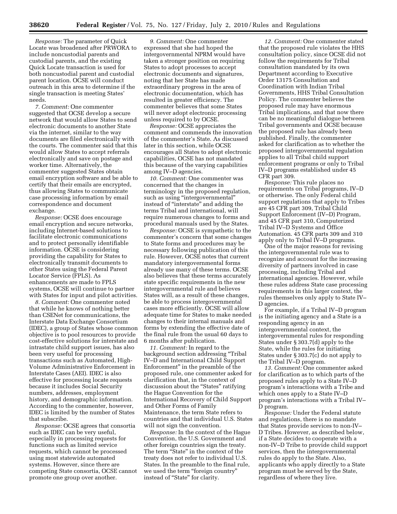*Response:* The parameter of Quick Locate was broadened after PRWORA to include noncustodial parents and custodial parents, and the existing Quick Locate transaction is used for both noncustodial parent and custodial parent location. OCSE will conduct outreach in this area to determine if the single transaction is meeting States' needs.

*7. Comment:* One commenter suggested that OCSE develop a secure network that would allow States to send electronic documents to another State via the internet, similar to the way documents are filed electronically with the courts. The commenter said that this would allow States to accept referrals electronically and save on postage and worker time. Alternatively, the commenter suggested States obtain email encryption software and be able to certify that their emails are encrypted, thus allowing States to communicate case processing information by email correspondence and document exchange.

*Response:* OCSE does encourage email encryption and secure networks, including Internet-based solutions to facilitate electronic communications and to protect personally identifiable information. OCSE is considering providing the capability for States to electronically transmit documents to other States using the Federal Parent Locator Service (FPLS). As enhancements are made to FPLS systems, OCSE will continue to partner with States for input and pilot activities.

*8. Comment:* One commenter noted that while he knows of nothing better than CSENet for communications, the Interstate Data Exchange Consortium (IDEC), a group of States whose common objective is to pool resources to provide cost-effective solutions for interstate and intrastate child support issues, has also been very useful for processing transactions such as Automated, High-Volume Administrative Enforcement in Interstate Cases (AEI). IDEC is also effective for processing locate requests because it includes Social Security numbers, addresses, employment history, and demographic information. According to the commenter, however, IDEC is limited by the number of States that subscribe.

*Response:* OCSE agrees that consortia such as IDEC can be very useful, especially in processing requests for functions such as limited service requests, which cannot be processed using most statewide automated systems. However, since there are competing State consortia, OCSE cannot promote one group over another.

*9. Comment:* One commenter expressed that she had hoped the intergovernmental NPRM would have taken a stronger position on requiring States to adopt processes to accept electronic documents and signatures, noting that her State has made extraordinary progress in the area of electronic documentation, which has resulted in greater efficiency. The commenter believes that some States will never adopt electronic processing unless required to by OCSE.

*Response:* OCSE appreciates the comment and commends the innovation of the commenter's State. As discussed later in this section, while OCSE encourages all States to adopt electronic capabilities, OCSE has not mandated this because of the varying capabilities among IV–D agencies.

*10. Comment:* One commenter was concerned that the changes in terminology in the proposed regulation, such as using "intergovernmental" instead of ''interstate'' and adding the terms Tribal and international, will require numerous changes to forms and procedural manuals used by the States.

*Response:* OCSE is sympathetic to the commenter's concern that some changes to State forms and procedures may be necessary following publication of this rule. However, OCSE notes that current mandatory intergovernmental forms already use many of these terms. OCSE also believes that these terms accurately state specific requirements in the new intergovernmental rule and believes States will, as a result of these changes, be able to process intergovernmental cases more efficiently. OCSE will allow adequate time for States to make needed changes to their internal manuals and forms by extending the effective date of the final rule from the usual 60 days to 6 months after publication.

*11. Comment:* In regard to the background section addressing ''Tribal IV–D and International Child Support Enforcement'' in the preamble of the proposed rule, one commenter asked for clarification that, in the context of discussion about the "States" ratifying the Hague Convention for the International Recovery of Child Support and Other Forms of Family Maintenance, the term State refers to countries and that individual U.S. States will not sign the convention.

*Response:* In the context of the Hague Convention, the U.S. Government and other foreign countries sign the treaty. The term "State" in the context of the treaty does not refer to individual U.S. States. In the preamble to the final rule, we used the term "foreign country" instead of "State" for clarity.

*12. Comment:* One commenter stated that the proposed rule violates the HHS consultation policy, since OCSE did not follow the requirements for Tribal consultation mandated by its own Department according to Executive Order 13175 Consultation and Coordination with Indian Tribal Governments, HHS Tribal Consultation Policy. The commenter believes the proposed rule may have enormous Tribal implications, and that now there can be no meaningful dialogue between Tribal governments and OCSE because the proposed rule has already been published. Finally, the commenter asked for clarification as to whether the proposed intergovernmental regulation applies to all Tribal child support enforcement programs or only to Tribal IV–D programs established under 45 CFR part 309.

*Response:* This rule places no requirements on Tribal programs, IV–D or otherwise. The only Federal child support regulations that apply to Tribes are 45 CFR part 309, Tribal Child Support Enforcement (IV–D) Program, and 45 CFR part 310, Computerized Tribal IV–D Systems and Office Automation. 45 CFR parts 309 and 310 apply only to Tribal IV–D programs.

One of the major reasons for revising the intergovernmental rule was to recognize and account for the increasing diversity of partners involved in case processing, including Tribal and international agencies. However, while these rules address State case processing requirements in this larger context, the rules themselves only apply to State IV– D agencies.

For example, if a Tribal IV–D program is the initiating agency and a State is a responding agency in an intergovernmental context, the intergovernmental rules for responding States under § 303.7(d) apply to the State, while the rules for initiating States under § 303.7(c) do not apply to the Tribal IV–D program.

*13. Comment:* One commenter asked for clarification as to which parts of the proposed rules apply to a State IV–D program's interactions with a Tribe and which ones apply to a State IV–D program's interactions with a Tribal IV– D program.

*Response:* Under the Federal statute and regulations, there is no mandate that States provide services to non-IV– D Tribes. However, as described below, if a State decides to cooperate with a non-IV–D Tribe to provide child support services, then the intergovernmental rules do apply to the State. Also, applicants who apply directly to a State program must be served by the State, regardless of where they live.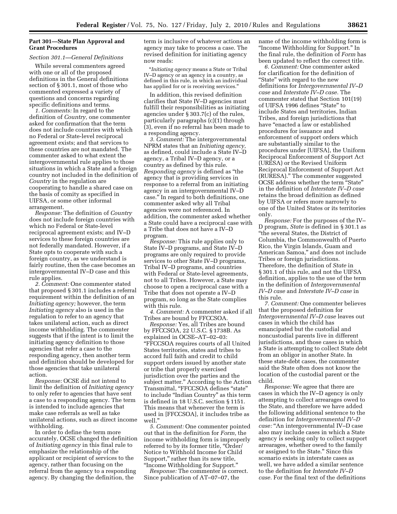## **Part 301—State Plan Approval and Grant Procedures**

#### *Section 301.1—General Definitions*

While several commenters agreed with one or all of the proposed definitions in the General definitions section of § 301.1, most of those who commented expressed a variety of questions and concerns regarding specific definitions and terms.

*1. Comments:* In regard to the definition of *Country,* one commenter asked for confirmation that the term does not include countries with which no Federal or State-level reciprocal agreement exists; and that services to these countries are not mandated. The commenter asked to what extent the intergovernmental rule applies to those situations in which a State and a foreign country not included in the definition of *Country* in the regulation are cooperating to handle a shared case on the basis of comity as specified in UIFSA, or some other informal arrangement.

*Response:* The definition of *Country*  does not include foreign countries with which no Federal or State-level reciprocal agreement exists; and IV–D services to these foreign countries are not federally mandated. However, if a State opts to cooperate with such a foreign country, as we understand is fairly routine, then the case becomes an intergovernmental IV–D case and this rule applies.

*2. Comment:* One commenter stated that proposed § 301.1 includes a referral requirement within the definition of an *Initiating agency;* however, the term *Initiating agency* also is used in the regulation to refer to an agency that takes unilateral action, such as direct income withholding. The commenter suggests that if the intent is to limit the initiating agency definition to those agencies that refer a case to the responding agency, then another term and definition should be developed for those agencies that take unilateral action.

*Response:* OCSE did not intend to limit the definition of *Initiating agency*  to only refer to agencies that have sent a case to a responding agency. The term is intended to include agencies that make case referrals as well as take unilateral actions, such as direct income withholding.

In order to define the term more accurately, OCSE changed the definition of *Initiating agency* in this final rule to emphasize the relationship of the applicant or recipient of services to the agency, rather than focusing on the referral from the agency to a responding agency. By changing the definition, the

term is inclusive of whatever actions an agency may take to process a case. The revised definition for initiating agency now reads:

''*Initiating agency* means a State or Tribal IV–D agency or an agency in a country, as defined in this rule, in which an individual has applied for or is receiving services.''

In addition, this revised definition clarifies that State IV–D agencies must fulfill their responsibilities as initiating agencies under § 303.7(c) of the rules, particularly paragraphs (c)(1) through (3), even if no referral has been made to a responding agency.

*3. Comment:* The intergovernmental NPRM states that an *Initiating agency,*  as defined, could include a State IV–D agency, a Tribal IV–D agency, or a country as defined by this rule. *Responding agency* is defined as ''the agency that is providing services in response to a referral from an initiating agency in an intergovernmental IV–D case.'' In regard to both definitions, one commenter asked why all Tribal agencies were not referenced. In addition, the commenter asked whether a State could have a reciprocal case with a Tribe that does not have a IV–D program.

*Response:* This rule applies only to State IV–D programs, and State IV–D programs are only required to provide services to other State IV–D programs, Tribal IV–D programs, and countries with Federal or State-level agreements, not to all Tribes. However, a State may choose to open a reciprocal case with a Tribe that does not operate a IV–D program, so long as the State complies with this rule.

*4. Comment:* A commenter asked if all Tribes are bound by FFCCSOA.

*Response:* Yes, all Tribes are bound by FFCCSOA, 22 U.S.C. § 1738B. As explained in OCSE–AT–02–03: ''FFCCSOA requires courts of all United States territories, states and tribes to accord full faith and credit to child support orders issued by another state or tribe that properly exercised jurisdiction over the parties and the subject matter.'' According to the Action Transmittal, "FFCCSOA defines "state" to include ''Indian Country'' as this term is defined in 18 U.S.C. section § 1151. This means that whenever the term is used in [FFCCSOA], it includes tribe as well.''

*5. Comment:* One commenter pointed out that in the definition for *Form,* the income withholding form is improperly referred to by its former title, "Order/ Notice to Withhold Income for Child Support,'' rather than its new title, ''Income Withholding for Support.''

*Response:* The commenter is correct. Since publication of AT–07–07, the

name of the income withholding form is ''Income Withholding for Support.'' In the final rule, the definition of *Form* has been updated to reflect the correct title.

*6. Comment:* One commenter asked for clarification for the definition of "State" with regard to the new definitions for *Intergovernmental IV–D case* and *Interstate IV–D case.* The commenter stated that Section 101(19) of UIFSA 1996 defines "State" to include States and territories, Indian Tribes, and foreign jurisdictions that have "enacted a law or established procedures for issuance and enforcement of support orders which are substantially similar to the procedures under [UIFSA], the Uniform Reciprocal Enforcement of Support Act (URESA) or the Revised Uniform Reciprocal Enforcement of Support Act (RURESA).'' The commenter suggested OCSE address whether the term ''State'' in the definition of *Interstate IV–D case*  retains the broad definition as defined by UIFSA or refers more narrowly to one of the United States or its territories only.

*Response:* For the purposes of the IV– D program, *State* is defined in § 301.1 as ''the several States, the District of Columbia, the Commonwealth of Puerto Rico, the Virgin Islands, Guam and American Samoa,'' and does not include Tribes or foreign jurisdictions. Therefore, the definition of *State* in § 301.1 of this rule, and not the UIFSA definition, applies to the use of the term in the definition of *Intergovernmental IV–D case* and *Interstate IV–D case* in this rule.

*7. Comment:* One commenter believes that the proposed definition for *Intergovernmental IV–D case* leaves out cases in which the child has emancipated but the custodial and noncustodial parents live in different jurisdictions, and those cases in which a State is attempting to collect State debt from an obligor in another State. In these state-debt cases, the commenter said the State often does not know the location of the custodial parent or the child.

*Response:* We agree that there are cases in which the IV–D agency is only attempting to collect arrearages owed to the State, and therefore we have added the following additional sentence to the definition for *Intergovernmental IV–D case:* ''An intergovernmental IV–D case also may include cases in which a State agency is seeking only to collect support arrearages, whether owed to the family or assigned to the State.'' Since this scenario exists in interstate cases as well, we have added a similar sentence to the definition for *Interstate IV–D case.* For the final text of the definitions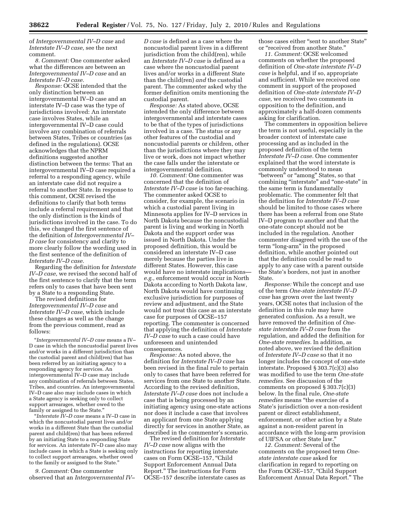of *Intergovernmental IV–D case* and *Interstate IV–D case,* see the next comment.

*8. Comment:* One commenter asked what the differences are between an *Intergovernmental IV–D case* and an *Interstate IV–D case.* 

*Response:* OCSE intended that the only distinction between an intergovernmental IV–D case and an interstate IV–D case was the type of jurisdictions involved: An interstate case involves States, while an intergovernmental IV–D case could involve any combination of referrals between States, Tribes or countries (as defined in the regulations). OCSE acknowledges that the NPRM definitions suggested another distinction between the terms: That an intergovernmental IV–D case required a referral to a responding agency, while an interstate case did not require a referral to another State. In response to this comment, OCSE revised the definitions to clarify that both terms include a referral requirement and that the only distinction is the kinds of jurisdictions involved in the case. To do this, we changed the first sentence of the definition of *Intergovernmental IV– D case* for consistency and clarity to more clearly follow the wording used in the first sentence of the definition of *Interstate IV–D case.* 

Regarding the definition for *Interstate IV–D case,* we revised the second half of the first sentence to clarify that the term refers only to cases that have been sent by a State to a responding State.

The revised definitions for *Intergovernmental IV–D case* and *Interstate IV–D case,* which include these changes as well as the change from the previous comment, read as follows:

''*Intergovernmental IV–D case* means a IV– D case in which the noncustodial parent lives and/or works in a different jurisdiction than the custodial parent and child(ren) that has been referred by an initiating agency to a responding agency for services. An intergovernmental IV–D case may include any combination of referrals between States, Tribes, and countries. An intergovernmental IV–D case also may include cases in which a State agency is seeking only to collect support arrearages, whether owed to the family or assigned to the State."

''*Interstate IV–D case* means a IV–D case in which the noncustodial parent lives and/or works in a different State than the custodial parent and child(ren) that has been referred by an initiating State to a responding State for services. An interstate IV–D case also may include cases in which a State is seeking only to collect support arrearages, whether owed to the family or assigned to the State.''

*9. Comment:* One commenter observed that an *Intergovernmental IV–* 

*D case* is defined as a case where the noncustodial parent lives in a different jurisdiction from the child(ren), while an *Interstate IV–D case* is defined as a case where the noncustodial parent lives and/or works in a different State than the child(ren) *and* the custodial parent. The commenter asked why the former definition omits mentioning the custodial parent.

*Response:* As stated above, OCSE intended the only difference between intergovernmental and interstate cases to be that of the types of jurisdictions involved in a case. The status or any other features of the custodial and noncustodial parents or children, other than the jurisdictions where they may live or work, does not impact whether the case falls under the interstate or intergovernmental definition.

*10. Comment:* One commenter was concerned that the definition of *Interstate IV–D case* is too far-reaching. The commenter asked OCSE to consider, for example, the scenario in which a custodial parent living in Minnesota applies for IV–D services in North Dakota because the noncustodial parent is living and working in North Dakota and the support order was issued in North Dakota. Under the proposed definition, this would be considered an interstate IV–D case merely because the parties live in different States. However, this case would have no interstate implications *e.g.,* enforcement would occur in North Dakota according to North Dakota law, North Dakota would have continuing exclusive jurisdiction for purposes of review and adjustment, and the State would not treat this case as an interstate case for purposes of OCSE–157 reporting. The commenter is concerned that applying the definition of *Interstate IV–D case* to such a case could have unforeseen and unintended consequences.

*Response:* As noted above, the definition for *Interstate IV–D case* has been revised in the final rule to pertain only to cases that have been referred for services from one State to another State. According to the revised definition, *Interstate IV–D case* does not include a case that is being processed by an initiating agency using one-state actions nor does it include a case that involves an applicant from one State applying directly for services in another State, as described in the commenter's scenario.

The revised definition for *Interstate IV–D case* now aligns with the instructions for reporting interstate cases on Form OCSE–157, ''Child Support Enforcement Annual Data Report.'' The instructions for Form OCSE–157 describe interstate cases as those cases either ''sent to another State'' or ''received from another State.''

*11. Comment:* OCSE welcomed comments on whether the proposed definition of *One-state interstate IV–D case* is helpful, and if so, appropriate and sufficient. While we received one comment in support of the proposed definition of *One-state interstate IV–D case,* we received two comments in opposition to the definition, and approximately a half-dozen comments asking for clarification.

The commenters in opposition believe the term is not useful, especially in the broader context of interstate case processing and as included in the proposed definition of the term *Interstate IV–D case.* One commenter explained that the word interstate is commonly understood to mean ''between'' or ''among'' States, so that combining ''interstate'' and ''one-state'' in the same term is fundamentally problematic. The commenter felt that the definition for *Interstate IV–D case*  should be limited to those cases where there has been a referral from one State IV–D program to another and that the one-state concept should not be included in the regulation. Another commenter disagreed with the use of the term "long-arm" in the proposed definition, while another pointed out that the definition could be read to apply to any case with a parent outside the State's borders, not just in another State.

*Response:* While the concept and use of the term *One-state interstate IV–D case* has grown over the last twenty years, OCSE notes that inclusion of the definition in this rule may have generated confusion. As a result, we have removed the definition of *Onestate interstate IV–D case* from the regulation, and added the definition for *One-state remedies.* In addition, as noted above, we revised the definition of *Interstate IV–D case* so that it no longer includes the concept of one-state interstate. Proposed § 303.7(c)(3) also was modified to use the term *One-state remedies.* See discussion of the comments on proposed § 303.7(c)(3) below. In the final rule, *One-state remedies* means ''the exercise of a State's jurisdiction over a non-resident parent or direct establishment, enforcement, or other action by a State against a non-resident parent in accordance with the long-arm provision of UIFSA or other State law.''

*12. Comment:* Several of the comments on the proposed term *Onestate interstate case* asked for clarification in regard to reporting on the Form OCSE-157, "Child Support Enforcement Annual Data Report.'' The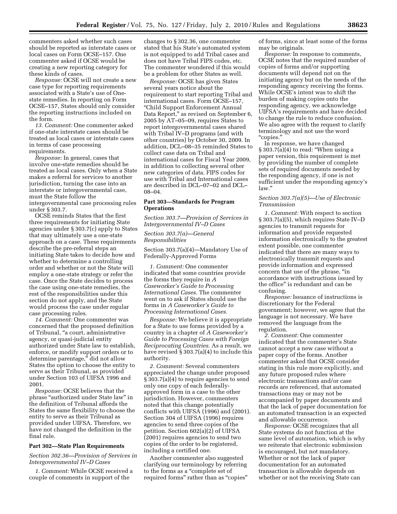commenters asked whether such cases should be reported as interstate cases or local cases on Form OCSE–157. One commenter asked if OCSE would be creating a new reporting category for these kinds of cases.

*Response:* OCSE will not create a new case type for reporting requirements associated with a State's use of Onestate remedies. In reporting on Form OCSE–157, States should only consider the reporting instructions included on the form.

*13. Comment:* One commenter asked if one-state interstate cases should be treated as local cases or interstate cases in terms of case processing requirements.

*Response:* In general, cases that involve one-state remedies should be treated as local cases. Only when a State makes a referral for services to another jurisdiction, turning the case into an interstate or intergovernmental case, must the State follow the intergovernmental case processing rules under § 303.7.

OCSE reminds States that the first three requirements for initiating State agencies under § 303.7(c) apply to States that may ultimately use a one-state approach on a case. These requirements describe the pre-referral steps an initiating State takes to decide how and whether to determine a controlling order and whether or not the State will employ a one-state strategy or refer the case. Once the State decides to process the case using one-state remedies, the rest of the responsibilities under this section do not apply, and the State would process the case under regular case processing rules.

*14. Comment:* One commenter was concerned that the proposed definition of Tribunal, ''a court, administrative agency, or quasi-judicial entity authorized under State law to establish, enforce, or modify support orders or to determine parentage,'' did not allow States the option to choose the entity to serve as their Tribunal, as provided under Section 103 of UIFSA 1996 and 2001.

*Response:* OCSE believes that the phrase ''authorized under State law'' in the definition of Tribunal affords the States the same flexibility to choose the entity to serve as their Tribunal as provided under UIFSA. Therefore, we have not changed the definition in the final rule.

## **Part 302—State Plan Requirements**

#### *Section 302.36—Provision of Services in Intergovernmental IV–D Cases*

*1. Comment:* While OCSE received a couple of comments in support of the

changes to § 302.36, one commenter stated that his State's automated system is not equipped to add Tribal cases and does not have Tribal FIPS codes, etc. The commenter wondered if this would be a problem for other States as well.

*Response:* OCSE has given States several years notice about the requirement to start reporting Tribal and international cases. Form OCSE–157, ''Child Support Enforcement Annual Data Report," as revised on September 6, 2005 by AT–05–09, requires States to report intergovernmental cases shared with Tribal IV–D programs (and with other countries) by October 30, 2009. In addition, DCL–08–35 reminded States to collect case data on Tribal and international cases for Fiscal Year 2009, in addition to collecting several other new categories of data. FIPS codes for use with Tribal and International cases are described in DCL–07–02 and DCL– 08–04.

## **Part 303—Standards for Program Operations**

*Section 303.7—Provision of Services in Intergovernmental IV–D Cases* 

*Section 303.7(a)—General Responsibilities* 

Section 303.7(a)(4)—Mandatory Use of Federally-Approved Forms

*1. Comment:* One commenter indicated that some countries provide the forms they require in *A Caseworker's Guide to Processing International Cases.* The commenter went on to ask if States should use the forms in *A Caseworker's Guide to Processing International Cases.* 

*Response:* We believe it is appropriate for a State to use forms provided by a country in a chapter of *A Caseworker's Guide to Processing Cases with Foreign Reciprocating Countries.* As a result, we have revised § 303.7(a)(4) to include this authority.

*2. Comment:* Several commenters appreciated the change under proposed § 303.7(a)(4) to require agencies to send only one copy of each federallyapproved form in a case to the other jurisdiction. However, commenters noted that this change potentially conflicts with UIFSA (1996) and (2001). Section 304 of UIFSA (1996) requires agencies to send three copies of the petition. Section 602(a)(2) of UIFSA (2001) requires agencies to send two copies of the order to be registered, including a certified one.

Another commenter also suggested clarifying our terminology by referring to the forms as a ''complete set of required forms" rather than as "copies" of forms, since at least some of the forms may be originals.

*Response:* In response to comments, OCSE notes that the required number of copies of forms and/or supporting documents will depend not on the initiating agency but on the needs of the responding agency receiving the forms. While OCSE's intent was to shift the burden of making copies onto the responding agency, we acknowledge UIFSA's requirements and have decided to change the rule to reduce confusion. We also agree with the request to clarify terminology and not use the word ''copies.''

In response, we have changed  $\S 303.7(a)(4)$  to read: "When using a paper version, this requirement is met by providing the number of complete sets of required documents needed by the responding agency, if one is not sufficient under the responding agency's law.''

#### *Section 303.7(a)(5)—Use of Electronic Transmission*

*1. Comment:* With respect to section § 303.7(a)(5), which requires State IV–D agencies to transmit requests for information and provide requested information electronically to the greatest extent possible, one commenter indicated that there are many ways to electronically transmit requests and provide information and expressed concern that use of the phrase, ''in accordance with instructions issued by the office'' is redundant and can be confusing.

*Response:* Issuance of instructions is discretionary for the Federal government; however, we agree that the language is not necessary. We have removed the language from the regulation.

*2. Comment:* One commenter indicated that the commenter's State cannot accept a new case without a paper copy of the forms. Another commenter asked that OCSE consider stating in this rule more explicitly, and any future proposed rules where electronic transactions and/or case records are referenced, that automated transactions may or may not be accompanied by paper documents and that the lack of paper documentation for an automated transaction is an expected and allowable occurrence.

*Response:* OCSE recognizes that all State systems do not function at the same level of automation, which is why we reiterate that electronic submission is encouraged, but not mandatory. Whether or not the lack of paper documentation for an automated transaction is allowable depends on whether or not the receiving State can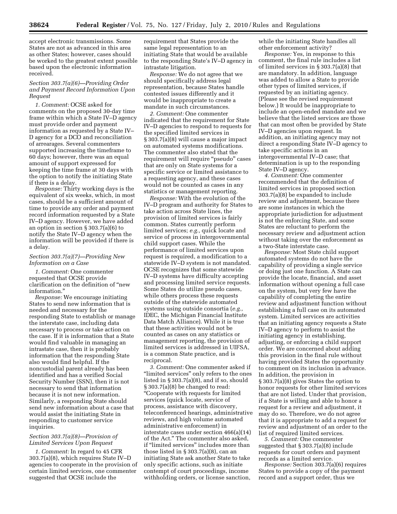accept electronic transmissions. Some States are not as advanced in this area as other States; however, cases should be worked to the greatest extent possible based upon the electronic information received.

## *Section 303.7(a)(6)—Providing Order and Payment Record Information Upon Request*

*1. Comment:* OCSE asked for comments on the proposed 30-day time frame within which a State IV–D agency must provide order and payment information as requested by a State IV– D agency for a DCO and reconciliation of arrearages. Several commenters supported increasing the timeframe to 60 days; however, there was an equal amount of support expressed for keeping the time frame at 30 days with the option to notify the initiating State if there is a delay.

*Response:* Thirty working days is the equivalent of six weeks, which, in most cases, should be a sufficient amount of time to provide any order and payment record information requested by a State IV–D agency. However, we have added an option in section § 303.7(a)(6) to notify the State IV–D agency when the information will be provided if there is a delay.

## *Section 303.7(a)(7)—Providing New Information on a Case*

*1. Comment:* One commenter requested that OCSE provide clarification on the definition of ''new information.

*Response:* We encourage initiating States to send new information that is needed and necessary for the responding State to establish or manage the interstate case, including data necessary to process or take action on the case. If it is information that a State would find valuable in managing an intrastate case, then it is probably information that the responding State also would find helpful. If the noncustodial parent already has been identified and has a verified Social Security Number (SSN), then it is not necessary to send that information because it is not new information. Similarly, a responding State should send new information about a case that would assist the initiating State in responding to customer service inquiries.

#### *Section 303.7(a)(8)—Provision of Limited Services Upon Request*

*1. Comment:* In regard to 45 CFR 303.7(a)(8), which requires State IV–D agencies to cooperate in the provision of certain limited services, one commenter suggested that OCSE include the

requirement that States provide the same legal representation to an initiating State that would be available to the responding State's IV–D agency in intrastate litigation.

*Response:* We do not agree that we should specifically address legal representation, because States handle contested issues differently and it would be inappropriate to create a mandate in such circumstances.

*2. Comment:* One commenter indicated that the requirement for State IV–D agencies to respond to requests for the specified limited services in § 303.7(a)(8) will cause a major impact on automated systems modifications. The commenter also stated that the requirement will require "pseudo" cases that are only on State systems for a specific service or limited assistance to a requesting agency, and these cases would not be counted as cases in any statistics or management reporting.

*Response:* With the evolution of the IV–D program and authority for States to take action across State lines, the provision of limited services is fairly common. States currently perform limited services; *e.g.,* quick locate and service of process in intergovernmental child support cases. While the performance of limited services upon request is required, a modification to a statewide IV–D system is not mandated. OCSE recognizes that some statewide IV–D systems have difficulty accepting and processing limited service requests. Some States do utilize pseudo cases, while others process these requests outside of the statewide automated systems using outside consortia (*e.g.,*  IDEC, the Michigan Financial Institute Data Match Alliance). While it is true that these activities would not be counted as cases on any statistics or management reporting, the provision of limited services is addressed in UIFSA, is a common State practice, and is reciprocal.

*3. Comment:* One commenter asked if "limited services" only refers to the ones listed in § 303.7(a)(8), and if so, should § 303.7(a)(8) be changed to read: ''Cooperate with requests for limited services (quick locate, service of process, assistance with discovery, teleconferenced hearings, administrative reviews, and high volume automated administrative enforcement) in interstate cases under section 466(a)(14) of the Act.'' The commenter also asked, if "limited services" includes more than those listed in § 303.7(a)(8), can an initiating State ask another State to take only specific actions, such as initiate contempt of court proceedings, income withholding orders, or license sanction,

while the initiating State handles all other enforcement activity?

*Response:* Yes, in response to this comment, the final rule includes a list of limited services in § 303.7(a)(8) that are mandatory. In addition, language was added to allow a State to provide other types of limited services, if requested by an initiating agency. (Please see the revised requirement below.) It would be inappropriate to include an open-ended mandate and we believe that the listed services are those that can most often be provided by State IV–D agencies upon request. In addition, an initiating agency may not direct a responding State IV–D agency to take specific actions in an intergovernmental IV–D case; that determination is up to the responding State IV–D agency.

*4. Comment:* One commenter recommended that the definition of limited services in proposed section 303.7(a)(8) be expanded to include review and adjustment, because there are some instances in which the appropriate jurisdiction for adjustment is not the enforcing State, and some States are reluctant to perform the necessary review and adjustment action without taking over the enforcement as a two-State interstate case.

*Response:* Most State child support automated systems do not have the capability of providing a single service or doing just one function. A State can provide the locate, financial, and asset information without opening a full case on the system, but very few have the capability of completing the entire review and adjustment function without establishing a full case on its automated system. Limited services are activities that an initiating agency requests a State IV–D agency to perform to assist the initiating agency in establishing, adjusting, or enforcing a child support order. We are concerned about adding this provision in the final rule without having provided States the opportunity to comment on its inclusion in advance. In addition, the provision in § 303.7(a)(8) gives States the option to honor requests for other limited services that are not listed. Under that provision, if a State is willing and able to honor a request for a review and adjustment, it may do so. Therefore, we do not agree that it is appropriate to add a request for review and adjustment of an order to the list of required limited services.

*5. Comment:* One commenter suggested that § 303.7(a)(8) include requests for court orders and payment records as a limited service.

*Response:* Section 303.7(a)(6) requires States to provide a copy of the payment record and a support order, thus we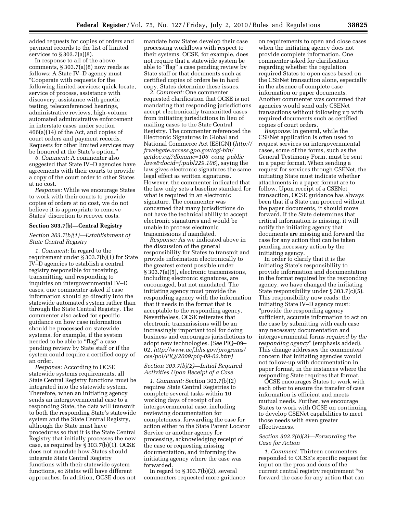added requests for copies of orders and payment records to the list of limited services to § 303.7(a)(8).

In response to all of the above comments,  $\S 303.7(a)(8)$  now reads as follows: A State IV–D agency must ''Cooperate with requests for the following limited services: quick locate, service of process, assistance with discovery, assistance with genetic testing, teleconferenced hearings, administrative reviews, high-volume automated administrative enforcement in interstate cases under section 466(a)(14) of the Act, and copies of court orders and payment records. Requests for other limited services may be honored at the State's option.''

*6. Comment:* A commenter also suggested that State IV–D agencies have agreements with their courts to provide a copy of the court order to other States at no cost.

*Response:* While we encourage States to work with their courts to provide copies of orders at no cost, we do not believe it is appropriate to remove States' discretion to recover costs.

#### **Section 303.7(b)—Central Registry**

## *Section 303.7(b)(1)—Establishment of State Central Registry*

*1. Comment:* In regard to the requirement under § 303.7(b)(1) for State IV–D agencies to establish a central registry responsible for receiving, transmitting, and responding to inquiries on intergovernmental IV–D cases, one commenter asked if case information should go directly into the statewide automated system rather than through the State Central Registry. The commenter also asked for specific guidance on how case information should be processed on statewide systems, for example, if the system needed to be able to "flag" a case pending review by State staff or if the system could require a certified copy of an order.

*Response:* According to OCSE statewide systems requirements, all State Central Registry functions must be integrated into the statewide system. Therefore, when an initiating agency sends an intergovernmental case to a responding State, the data will transmit to both the responding State's statewide system and the State Central Registry, although the State must have procedures so that it is the State Central Registry that initially processes the new case, as required by § 303.7(b)(1). OCSE does not mandate how States should integrate State Central Registry functions with their statewide system functions, so States will have different approaches. In addition, OCSE does not

mandate how States develop their case processing workflows with respect to their systems. OCSE, for example, does not require that a statewide system be able to "flag" a case pending review by State staff or that documents such as certified copies of orders be in hard copy. States determine these issues.

*2. Comment:* One commenter requested clarification that OCSE is not mandating that responding jurisdictions accept electronically transmitted cases from initiating jurisdictions in lieu of mailing cases to the State Central Registry. The commenter referenced the Electronic Signatures in Global and National Commerce Act (ESIGN) (*http:// frwebgate.access.gpo.gov/cgi-bin/ getdoc.cgi?dbname=106*\_*cong*\_*public*\_ *laws&docid=f:publ229.106*), saying the law gives electronic signatures the same legal effect as written signatures. However, the commenter indicated that the law only sets a baseline standard for what is required in an electronic signature. The commenter was concerned that many jurisdictions do not have the technical ability to accept electronic signatures and would be unable to process electronic transmissions if mandated.

*Response:* As we indicated above in the discussion of the general responsibility for States to transmit and provide information electronically to the greatest extent possible under § 303.7(a)(5), electronic transmissions, including electronic signatures, are encouraged, but not mandated. The initiating agency must provide the responding agency with the information that it needs in the format that is acceptable to the responding agency. Nevertheless, OCSE reiterates that electronic transmissions will be an increasingly important tool for doing business and encourages jurisdictions to adopt new technologies. (*See* PIQ–09– 02, *http://www.acf.hhs.gov/programs/ cse/pol/PIQ/2009/piq-09-02.htm)* 

## *Section 303.7(b)(2)—Initial Required Activities Upon Receipt of a Case*

*1. Comment:* Section 303.7(b)(2) requires State Central Registries to complete several tasks within 10 working days of receipt of an intergovernmental case, including reviewing documentation for completeness, forwarding the case for action either to the State Parent Locator Service or another agency for processing, acknowledging receipt of the case or requesting missing documentation, and informing the initiating agency where the case was forwarded.

In regard to  $\S 303.7(b)(2)$ , several commenters requested more guidance

on requirements to open and close cases when the initiating agency does not provide complete information. One commenter asked for clarification regarding whether the regulation required States to open cases based on the CSENet transaction alone, especially in the absence of complete case information or paper documents. Another commenter was concerned that agencies would send only CSENet transactions without following up with required documents such as certified copies of court orders.

*Response:* In general, while the CSENet application is often used to request services on intergovernmental cases, some of the forms, such as the General Testimony Form, must be sent in a paper format. When sending a request for services through CSENet, the initiating State must indicate whether attachments in a paper format are to follow. Upon receipt of a CSENet transaction, OCSE guidance has always been that if a State can proceed without the paper documents, it should move forward. If the State determines that critical information is missing, it will notify the initiating agency that documents are missing and forward the case for any action that can be taken pending necessary action by the initiating agency.

In order to clarify that it is the initiating State's responsibility to provide information and documentation in the format required by the responding agency, we have changed the initiating State responsibility under § 303.7(c)(5). This responsibility now reads: the initiating State IV–D agency must: ''provide the responding agency sufficient, accurate information to act on the case by submitting with each case any necessary documentation and intergovernmental forms *required by the responding agency*'' (emphasis added). This change addresses the commenters' concern that initiating agencies would not follow-up with documentation in paper format, in the instances where the responding State requires that format.

OCSE encourages States to work with each other to ensure the transfer of case information is efficient and meets mutual needs. Further, we encourage States to work with OCSE on continuing to develop CSENet capabilities to meet those needs with even greater effectiveness.

#### *Section 303.7(b)(3)—Forwarding the Case for Action*

*1. Comment:* Thirteen commenters responded to OCSE's specific request for input on the pros and cons of the current central registry requirement ''to forward the case for any action that can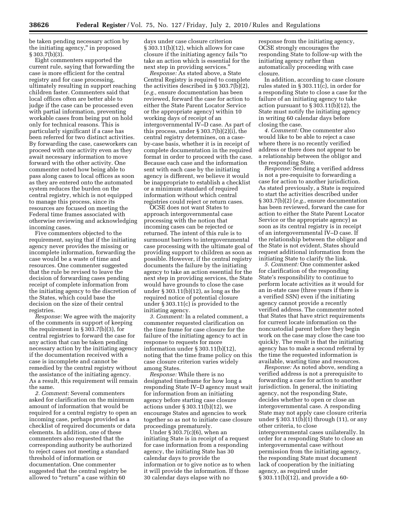be taken pending necessary action by the initiating agency,'' in proposed § 303.7(b)(3).

Eight commenters supported the current rule, saying that forwarding the case is more efficient for the central registry and for case processing, ultimately resulting in support reaching children faster. Commenters said that local offices often are better able to judge if the case can be processed even with partial information, preventing workable cases from being put on hold only for technical reasons. This is particularly significant if a case has been referred for two distinct activities. By forwarding the case, caseworkers can proceed with one activity even as they await necessary information to move forward with the other activity. One commenter noted how being able to pass along cases to local offices as soon as they are entered onto the automated system reduces the burden on the central registry, which is not equipped to manage this process, since its resources are focused on meeting the Federal time frames associated with otherwise reviewing and acknowledging incoming cases.

Five commenters objected to the requirement, saying that if the initiating agency never provides the missing or incomplete information, forwarding the case would be a waste of time and resources. One commenter suggested that the rule be revised to leave the decision of forwarding cases pending receipt of complete information from the initiating agency to the discretion of the States, which could base the decision on the size of their central registries.

*Response:* We agree with the majority of the comments in support of keeping the requirement in § 303.7(b)(3), for central registries to forward the case for any action that can be taken pending necessary action by the initiating agency if the documentation received with a case is incomplete and cannot be remedied by the central registry without the assistance of the initiating agency. As a result, this requirement will remain the same.

*2. Comment:* Several commenters asked for clarification on the minimum amount of information that would be required for a central registry to open an incoming case, perhaps provided as a checklist of required documents or data elements. In addition, one of these commenters also requested that the corresponding authority be authorized to reject cases not meeting a standard threshold of information or documentation. One commenter suggested that the central registry be allowed to "return" a case within 60

days under case closure criterion § 303.11(b)(12), which allows for case closure if the initiating agency fails ''to take an action which is essential for the next step in providing services.''

*Response:* As stated above, a State Central Registry is required to complete the activities described in § 303.7(b)(2), (*e.g.,* ensure documentation has been reviewed, forward the case for action to either the State Parent Locator Service or the appropriate agency) within 10 working days of receipt of an intergovernmental IV–D case. As part of this process, under § 303.7(b)(2)(i), the central registry determines, on a caseby-case basis, whether it is in receipt of complete documentation in the required format in order to proceed with the case. Because each case and the information sent with each case by the initiating agency is different, we believe it would be inappropriate to establish a checklist or a minimum standard of required information without which central registries could reject or return cases.

OCSE does not want States to approach intergovernmental case processing with the notion that incoming cases can be rejected or returned. The intent of this rule is to surmount barriers to intergovernmental case processing with the ultimate goal of providing support to children as soon as possible. However, if the central registry documents the failure by the initiating agency to take an action essential for the next step in providing services, the State would have grounds to close the case under § 303.11(b)(12), as long as the required notice of potential closure under § 303.11(c) is provided to the initiating agency.

*3. Comment:* In a related comment, a commenter requested clarification on the time frame for case closure for the failure of the initiating agency to act in response to requests for more information under § 303.11(b)(12), noting that the time frame policy on this case closure criterion varies widely among States.

*Response:* While there is no designated timeframe for how long a responding State IV–D agency must wait for information from an initiating agency before starting case closure actions under § 303.11(b)(12), we encourage States and agencies to work together so as not to initiate case closure proceedings prematurely.

Under § 303.7(c)(6), when an initiating State is in receipt of a request for case information from a responding agency, the initiating State has 30 calendar days to provide the information or to give notice as to when it will provide the information. If those 30 calendar days elapse with no

response from the initiating agency, OCSE strongly encourages the responding State to follow-up with the initiating agency rather than automatically proceeding with case closure.

In addition, according to case closure rules stated in § 303.11(c), in order for a responding State to close a case for the failure of an initiating agency to take action pursuant to  $\S 303.11(b)(12)$ , the State must notify the initiating agency in writing 60 calendar days before closing the case.

*4. Comment:* One commenter also would like to be able to reject a case where there is no recently verified address or there does not appear to be a relationship between the obligor and the responding State.

*Response:* Sending a verified address is not a pre-requisite to forwarding a case for action to another jurisdiction. As stated previously, a State is required to start the activities described under § 303.7(b)(2) (*e.g.,* ensure documentation has been reviewed, forward the case for action to either the State Parent Locator Service or the appropriate agency) as soon as its central registry is in receipt of an intergovernmental IV–D case. If the relationship between the obligor and the State is not evident, States should request additional information from the initiating State to clarify the link.

*5. Comment:* One commenter asked for clarification of the responding State's responsibility to continue to perform locate activities as it would for an in-state case (three years if there is a verified SSN) even if the initiating agency cannot provide a recently verified address. The commenter noted that States that have strict requirements for current locate information on the noncustodial parent before they begin work on the case may close the case too quickly. The result is that the initiating agency has to make a second referral by the time the requested information is available, wasting time and resources.

*Response:* As noted above, sending a verified address is not a prerequisite to forwarding a case for action to another jurisdiction. In general, the initiating agency, not the responding State, decides whether to open or close an intergovernmental case. A responding State may not apply case closure criteria under § 303.11(b)(1) through (11), or any other criteria, to close intergovernmental cases unilaterally. In order for a responding State to close an intergovernmental case without permission from the initiating agency, the responding State must document lack of cooperation by the initiating agency, as required under § 303.11(b)(12), and provide a 60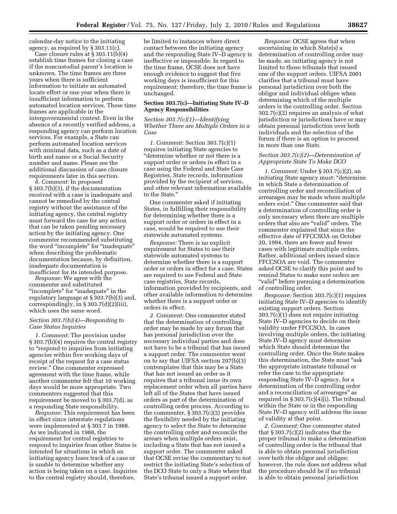calendar-day notice to the initiating agency, as required by § 303.11(c).

Case closure rules at § 303.11(b)(4) establish time frames for closing a case if the noncustodial parent's location is unknown. The time frames are three years when there is sufficient information to initiate an automated locate effort or one year when there is insufficient information to perform automated location services. These time frames are applicable in the intergovernmental context. Even in the absence of a recently verified address, a responding agency can perform location services. For example, a State can perform automated location services with minimal data, such as a date of birth and name or a Social Security number and name. Please see the additional discussion of case closure requirements later in this section.

*6. Comment:* In proposed § 303.7(b)(3), if the documentation received with a case is inadequate and cannot be remedied by the central registry without the assistance of the initiating agency, the central registry must forward the case for any action that can be taken pending necessary action by the initiating agency. One commenter recommended substituting the word ''incomplete'' for ''inadequate'' when describing the problematic documentation because, by definition, inadequate documentation is insufficient for its intended purpose.

*Response:* We agree with the commenter and substituted ''incomplete'' for ''inadequate'' in the regulatory language at § 303.7(b)(3) and, correspondingly, in § 303.7(d)(2)(iii), which uses the same word.

#### *Section 303.7(b)(4)—Responding to Case Status Inquiries*

*1. Comment:* The provision under § 303.7(b)(4) requires the central registry to ''respond to inquiries from initiating agencies within five working days of receipt of the request for a case status review.'' One commenter expressed agreement with the time frame, while another commenter felt that 10 working days would be more appropriate. Two commenters suggested that this requirement be moved to § 303.7(d), as a responding State responsibility.

*Response:* This requirement has been in effect since interstate regulations were implemented at § 303.7 in 1988. As we indicated in 1988, the requirement for central registries to respond to inquiries from other States is intended for situations in which an initiating agency loses track of a case or is unable to determine whether any action is being taken on a case. Inquiries to the central registry should, therefore,

be limited to instances where direct contact between the initiating agency and the responding State IV–D agency is ineffective or impossible. In regard to the time frame, OCSE does not have enough evidence to suggest that five working days is insufficient for this requirement; therefore, the time frame is unchanged.

## **Section 303.7(c)—Initiating State IV–D Agency Responsibilities**

*Section 303.7(c)(1)—Identifying Whether There are Multiple Orders in a Case* 

*1. Comment:* Section 303.7(c)(1) requires initiating State agencies to ''determine whether or not there is a support order or orders in effect in a case using the Federal and State Case Registries, State records, information provided by the recipient of services, and other relevant information available to the State.''

One commenter asked if initiating States, in fulfilling their responsibility for determining whether there is a support order or orders in effect in a case, would be required to use their statewide automated systems.

*Response:* There is no explicit requirement for States to use their statewide automated systems to determine whether there is a support order or orders in effect for a case. States are required to use Federal and State case registries, State records, information provided by recipients, and other available information to determine whether there is a support order or orders in effect.

*2. Comment:* One commenter stated that the determination of controlling order may be made by any forum that has personal jurisdiction over the necessary individual parties and does not have to be a tribunal that has issued a support order. The commenter went on to say that UIFSA section 207(b)(3) contemplates that this may be a State that has not issued an order as it requires that a tribunal issue its own replacement order when all parties have left all of the States that have issued orders as part of the determination of controlling order process. According to the commenter, § 303.7(c)(2) provides the flexibility needed by the initiating agency to select the State to determine the controlling order and reconcile the arrears when multiple orders exist, including a State that has not issued a support order. The commenter asked that OCSE revise the commentary to not restrict the initiating State's selection of the DCO State to only a State where that State's tribunal issued a support order.

*Response:* OCSE agrees that when ascertaining in which State(s) a determination of controlling order may be made, an initiating agency is not limited to those tribunals that issued one of the support orders. UIFSA 2001 clarifies that a tribunal must have personal jurisdiction over both the obligor and individual obligee when determining which of the multiple orders is the controlling order. Section 302.7(c)(2) requires an analysis of what jurisdiction or jurisdictions have or may obtain personal jurisdiction over both individuals and the selection of the forum if there is an option to proceed in more than one State.

#### *Section 303.7(c)(2)—Determination of Appropriate State To Make DCO*

*1. Comment:* Under § 303.7(c)(2), an initiating State agency must: ''determine in which State a determination of controlling order and reconciliation of arrearages may be made where multiple orders exist.'' One commenter said that a determination of controlling order is only necessary when there are multiple orders that also are ''valid'' orders. The commenter explained that since the effective date of FFCCSOA on October 20, 1994, there are fewer and fewer cases with legitimate multiple orders. Rather, additional orders issued since FFCCSOA are void. The commenter asked OCSE to clarify this point and to remind States to make sure orders are ''valid'' before pursuing a determination of controlling order.

*Response:* Section 303.7(c)(1) requires initiating State IV–D agencies to identify existing support orders. Section 303.7(c)(1) does not require initiating State IV–D agencies to decide on their validity under FFCCSOA. In cases involving multiple orders, the initiating State IV–D agency must determine which State should determine the controlling order. Once the State makes this determination, the State must "ask the appropriate intrastate tribunal or refer the case to the appropriate responding State IV–D agency, for a determination of the controlling order and a reconciliation of arrearages'' as required in  $\S 303.7(c)(4)(i)$ . The tribunal within the State or in the responding State IV–D agency will address the issue of validity at that point.

*2. Comment:* One commenter stated that  $\S 303.7(c)(2)$  indicates that the proper tribunal to make a determination of controlling order is the tribunal that is able to obtain personal jurisdiction over both the obligor and obligee; however, the rule does not address what the procedure should be if no tribunal is able to obtain personal jurisdiction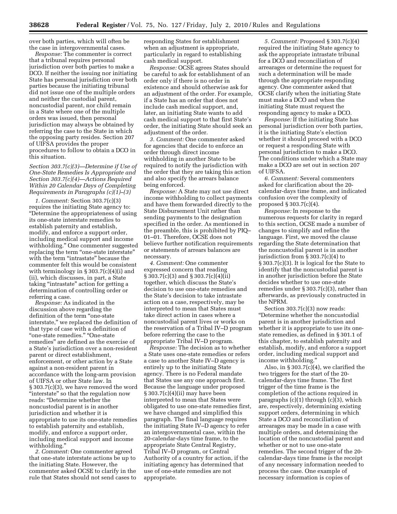over both parties, which will often be the case in intergovernmental cases.

*Response:* The commenter is correct that a tribunal requires personal jurisdiction over both parties to make a DCO. If neither the issuing nor initiating State has personal jurisdiction over both parties because the initiating tribunal did not issue one of the multiple orders and neither the custodial parent, noncustodial parent, nor child remain in a State where one of the multiple orders was issued, then personal jurisdiction may always be obtained by referring the case to the State in which the opposing party resides. Section 207 of UIFSA provides the proper procedures to follow to obtain a DCO in this situation.

## *Section 303.7(c)(3)—Determine if Use of One-State Remedies Is Appropriate and Section 303.7(c)(4)—Actions Required Within 20 Calendar Days of Completing Requirements in Paragraphs (c)(1)–(3)*

*1. Comment:* Section 303.7(c)(3) requires the initiating State agency to: ''Determine the appropriateness of using its one-state interstate remedies to establish paternity and establish, modify, and enforce a support order, including medical support and income withholding.'' One commenter suggested replacing the term ''one-state interstate'' with the term "intrastate" because the commenter felt this would be consistent with terminology in § 303.7(c)(4)(i) and (ii), which discusses, in part, a State taking ''intrastate'' action for getting a determination of controlling order or referring a case.

*Response:* As indicated in the discussion above regarding the definition of the term ''one-state interstate,'' we replaced the definition of that type of case with a definition of ''one-state remedies.'' ''One-state remedies'' are defined as the exercise of a State's jurisdiction over a non-resident parent or direct establishment, enforcement, or other action by a State against a non-resident parent in accordance with the long-arm provision of UIFSA or other State law. In § 303.7(c)(3), we have removed the word ''interstate'' so that the regulation now reads: ''Determine whether the noncustodial parent is in another jurisdiction and whether it is appropriate to use its one-state remedies to establish paternity and establish, modify, and enforce a support order, including medical support and income withholding.''

*2. Comment:* One commenter agreed that one-state interstate actions be up to the initiating State. However, the commenter asked OCSE to clarify in the rule that States should not send cases to responding States for establishment when an adjustment is appropriate, particularly in regard to establishing cash medical support.

*Response:* OCSE agrees States should be careful to ask for establishment of an order only if there is no order in existence and should otherwise ask for an adjustment of the order. For example, if a State has an order that does not include cash medical support, and, later, an initiating State wants to add cash medical support to that first State's order, the initiating State should seek an adjustment of the order.

*3. Comment:* One commenter asked for agencies that decide to enforce an order through direct income withholding in another State to be required to notify the jurisdiction with the order that they are taking this action and also specify the arrears balance being enforced.

*Response:* A State may not use direct income withholding to collect payments and have them forwarded directly to the State Disbursement Unit rather than sending payments to the designation specified in the order. As mentioned in the preamble, this is prohibited by PIQ– 01–01. Therefore, OCSE does not believe further notification requirements or statements of arrears balances are necessary.

*4. Comment:* One commenter expressed concern that reading § 303.7(c)(3) and § 303.7(c)(4)(ii) together, which discuss the State's decision to use one-state remedies and the State's decision to take intrastate action on a case, respectively, may be interpreted to mean that States must take direct action in cases where a noncustodial parent lives or works on the reservation of a Tribal IV–D program before referring the case to the appropriate Tribal IV–D program.

*Response:* The decision as to whether a State uses one-state remedies or refers a case to another State IV–D agency is entirely up to the initiating State agency. There is no Federal mandate that States use any one approach first. Because the language under proposed § 303.7(c)(4)(ii) may have been interpreted to mean that States were obligated to use one-state remedies first, we have changed and simplified this paragraph. The final language requires the initiating State IV–D agency to refer an intergovernmental case, within the 20-calendar-days time frame, to the appropriate State Central Registry, Tribal IV–D program, or Central Authority of a country for action, if the initiating agency has determined that use of one-state remedies are not appropriate.

*5. Comment:* Proposed § 303.7(c)(4) required the initiating State agency to ask the appropriate intrastate tribunal for a DCO and reconciliation of arrearages or determine the request for such a determination will be made through the appropriate responding agency. One commenter asked that OCSE clarify when the initiating State must make a DCO and when the initiating State must request the responding agency to make a DCO.

*Response:* If the initiating State has personal jurisdiction over both parties, it is the initiating State's election whether it should proceed with a DCO or request a responding State with personal jurisdiction to make a DCO. The conditions under which a State may make a DCO are set out in section 207 of UIFSA.

*6. Comment:* Several commenters asked for clarification about the 20 calendar-days time frame, and indicated confusion over the complexity of proposed § 303.7(c)(4).

*Response:* In response to the numerous requests for clarity in regard to this section, OCSE made a number of changes to simplify and refine the language. First, we moved the clause regarding the State determination that the noncustodial parent is in another jurisdiction from § 303.7(c)(4) to § 303.7(c)(3). It is logical for the State to identify that the noncustodial parent is in another jurisdiction before the State decides whether to use one-state remedies under § 303.7(c)(3), rather than afterwards, as previously constructed in the NPRM.

Section 303.7(c)(3) now reads: ''Determine whether the noncustodial parent is in another jurisdiction and whether it is appropriate to use its onestate remedies, as defined in § 301.1 of this chapter, to establish paternity and establish, modify, and enforce a support order, including medical support and income withholding.''

Also, in § 303.7(c)(4), we clarified the two triggers for the start of the 20 calendar-days time frame. The first trigger of the time frame is the completion of the actions required in paragraphs (c)(1) through (c)(3), which are, respectively, determining existing support orders, determining in which State a DCO and reconciliation of arrearages may be made in a case with multiple orders, and determining the location of the noncustodial parent and whether or not to use one-state remedies. The second trigger of the 20 calendar-days time frame is the receipt of any necessary information needed to process the case. One example of necessary information is copies of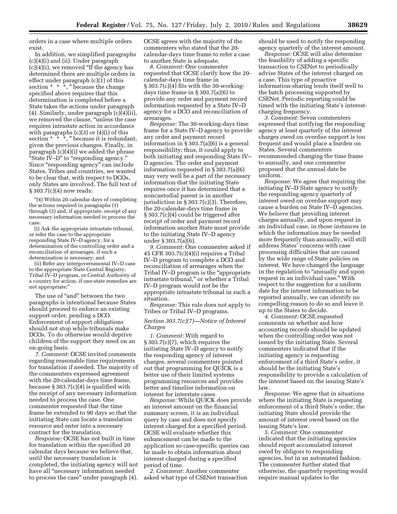orders in a case where multiple orders exist.

In addition, we simplified paragraphs (c)(4)(i) and (ii). Under paragraph (c)(4)(i), we removed ''If the agency has determined there are multiple orders in effect under paragraph (c)(1) of this section  $* * *$ , " because the change specified above requires that this determination is completed before a State takes the actions under paragraph (4). Similarly, under paragraph (c)(4)(ii), we removed the clause, ''unless the case requires intrastate action in accordance with paragraphs  $(c)(3)$  or  $(4)(i)$  of this section  $* \times \cdot$ , " because it is redundant, given the previous changes. Finally, in paragraph (c)(4)(i) we added the phrase ''State IV–D'' to ''responding agency.'' Since ''responding agency'' can include States, Tribes and countries, we wanted to be clear that, with respect to DCOs, only States are involved. The full text of § 303.7(c)(4) now reads:

''(4) Within 20 calendar days of completing the actions required in paragraphs (1) through (3) and, if appropriate, receipt of any necessary information needed to process the case:

(i) Ask the appropriate intrastate tribunal, or refer the case to the appropriate responding State IV–D agency, for a determination of the controlling order and a reconciliation of arrearages, if such a determination is necessary; and

(ii) Refer any intergovernmental IV–D case to the appropriate State Central Registry, Tribal IV–D program, or Central Authority of a country for action, if one-state remedies are not appropriate;''

The use of "and" between the two paragraphs is intentional because States should proceed to enforce an existing support order, pending a DCO. Enforcement of support obligations should not stop while tribunals make DCOs. To do otherwise would deprive children of the support they need on an on-going basis.

*7. Comment:* OCSE invited comments regarding reasonable time requirements for translation if needed. The majority of the commenters expressed agreement with the 20-calendar-days time frame, because § 303.7(c)(4) is qualified with the receipt of any necessary information needed to process the case. One commenter requested that the time frame be extended to 90 days so that the initiating State can locate a translation resource and enter into a necessary contract for the translation.

*Response:* OCSE has not built in time for translation within the specified 20 calendar days because we believe that, until the necessary translation is completed, the initiating agency will not have all ''necessary information needed to process the case'' under paragraph (4).

OCSE agrees with the majority of the commenters who stated that the 20 calendar-days time frame to refer a case to another State is adequate.

*8. Comment:* One commenter requested that OCSE clarify how the 20 calendar-days time frame in § 303.7(c)(4) fits with the 30-workingdays time frame in § 303.7(a)(6) to provide any order and payment record information requested by a State IV–D agency for a DCO and reconciliation of arrearages.

*Response:* The 30-working-days time frame for a State IV–D agency to provide any order and payment record information in § 303.7(a)(6) is a general responsibility; thus, it could apply to both initiating and responding State IV– D agencies. The order and payment information requested in § 303.7(a)(6) may very well be a part of the necessary information that the initiating State requires once it has determined that a noncustodial parent is in another jurisdiction in § 303.7(c)(3). Therefore, the 20-calendar-days time frame in § 303.7(c)(4) could be triggered after receipt of order and payment record information another State must provide to the initiating State IV–D agency under § 303.7(a)(6).

*9. Comment:* One commenter asked if 45 CFR 303.7(c)(4)(i) requires a Tribal IV–D program to complete a DCO and reconciliation of arrearages when the Tribal IV–D program is the ''appropriate intrastate tribunal,'' or whether a Tribal IV–D program would not be the appropriate intrastate tribunal in such a situation.

*Response:* This rule does not apply to Tribes or Tribal IV–D programs.

## *Section 303.7(c)(7)—Notice of Interest Charges*

*1. Comment:* With regard to § 303.7(c)(7), which requires the initiating State IV–D agency to notify the responding agency of interest charges, several commenters pointed out that programming for QUICK is a better use of their limited systems programming resources and provides better and timelier information on interest for interstate cases.

*Response:* While QUICK does provide an interest amount on the financial summary screen, it is an individual query by case and does not specify interest charged for a specified period. OCSE will evaluate whether this enhancement can be made to the application so case-specific queries can be made to obtain information about interest charged during a specified period of time.

*2. Comment:* Another commenter asked what type of CSENet transaction should be used to notify the responding agency quarterly of the interest amount.

*Response:* OCSE will also determine the feasibility of adding a specific transaction to CSENet to periodically advise States of the interest charged on a case. This type of proactive information-sharing lends itself well to the batch processing supported by CSENet. Periodic reporting could be timed with the initiating State's interestcharging frequency.

*3. Comment:* Seven commenters expressed that notifying the responding agency at least quarterly of the interest charges owed on overdue support is too frequent and would place a burden on States. Several commenters recommended changing the time frame to annually, and one commenter proposed that the annual date be uniform.

*Response:* We agree that requiring the initiating IV–D State agency to notify the responding agency quarterly of interest owed on overdue support may cause a burden on State IV–D agencies. We believe that providing interest charges annually, and upon request in an individual case, in those instances in which the information may be needed more frequently than annually, will still address States' concerns with case processing difficulties that are caused by the wide range of State policies on interest. We have changed the language in the regulation to "annually and upon request in an individual case.'' With respect to the suggestion for a uniform date for the interest information to be reported annually, we can identify no compelling reason to do so and leave it up to the States to decide.

*4. Comment:* OCSE requested comments on whether and how accounting records should be updated when the controlling order was not issued by the initiating State. Several commenters indicated that if the initiating agency is requesting enforcement of a third State's order, it should be the initiating State's responsibility to provide a calculation of the interest based on the issuing State's law.

*Response:* We agree that in situations where the initiating State is requesting enforcement of a third State's order, the initiating State should provide the amount of interest owed based on the issuing State's law.

*5. Comment:* One commenter indicated that the initiating agencies should report accumulated interest owed by obligors to responding agencies, but in an automated fashion. The commenter further stated that otherwise, the quarterly reporting would require manual updates to the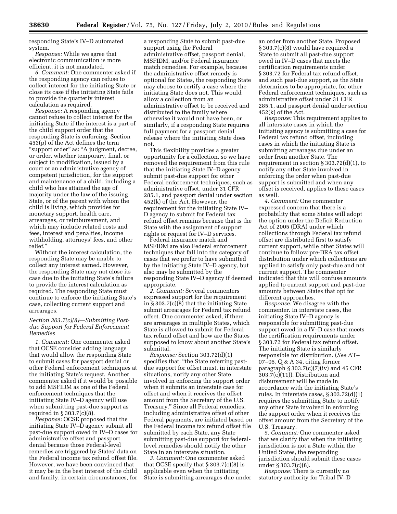responding State's IV–D automated system.

*Response:* While we agree that electronic communication is more efficient, it is not mandated.

*6. Comment:* One commenter asked if the responding agency can refuse to collect interest for the initiating State or close its case if the initiating State fails to provide the quarterly interest calculation as required.

*Response:* A responding agency cannot refuse to collect interest for the initiating State if the interest is a part of the child support order that the responding State is enforcing. Section 453(p) of the Act defines the term "support order" as: "A judgment, decree, or order, whether temporary, final, or subject to modification, issued by a court or an administrative agency of competent jurisdiction, for the support and maintenance of a child, including a child who has attained the age of majority under the law of the issuing State, or of the parent with whom the child is living, which provides for monetary support, health care, arrearages, or reimbursement, and which may include related costs and fees, interest and penalties, income withholding, attorneys' fees, and other relief.''

Without the interest calculation, the responding State may be unable to collect any interest earned. However, the responding State may not close its case due to the initiating State's failure to provide the interest calculation as required. The responding State must continue to enforce the initiating State's case, collecting current support and arrearages.

## *Section 303.7(c)(8)—Submitting Pastdue Support for Federal Enforcement Remedies*

*1. Comment:* One commenter asked that OCSE consider adding language that would allow the responding State to submit cases for passport denial or other Federal enforcement techniques at the initiating State's request. Another commenter asked if it would be possible to add MSFIDM as one of the Federal enforcement techniques that the initiating State IV–D agency will use when submitting past-due support as required in  $\S 303.7(c)(8)$ .

*Response:* OCSE proposed that the initiating State IV–D agency submit all past-due support owed in IV–D cases for administrative offset and passport denial because those Federal-level remedies are triggered by States' data on the Federal income tax refund offset file. However, we have been convinced that it may be in the best interest of the child and family, in certain circumstances, for

a responding State to submit past-due support using the Federal administrative offset, passport denial, MSFIDM, and/or Federal insurance match remedies. For example, because the administrative offset remedy is optional for States, the responding State may choose to certify a case where the initiating State does not. This would allow a collection from an administrative offset to be received and distributed to the family where otherwise it would not have been, or similarly, if a responding State requires full payment for a passport denial release where the initiating State does not.

This flexibility provides a greater opportunity for a collection, so we have removed the requirement from this rule that the initiating State IV–D agency submit past-due support for other Federal enforcement techniques, such as administrative offset, under 31 CFR 285.1, and passport denial under section 452(k) of the Act. However, the requirement for the initiating State IV– D agency to submit for Federal tax refund offset remains because that is the State with the assignment of support rights or request for IV–D services.

Federal insurance match and MSFIDM are also Federal enforcement techniques that fall into the category of cases that we prefer to have submitted by the initiating State IV–D agency, but also may be submitted by the responding State IV–D agency if deemed appropriate.

*2. Comment:* Several commenters expressed support for the requirement in § 303.7(c)(8) that the initiating State submit arrearages for Federal tax refund offset. One commenter asked, if there are arrearages in multiple States, which State is allowed to submit for Federal tax refund offset and how are the States supposed to know about another State's submittal.

*Response:* Section 303.72(d)(1) specifies that: "the State referring pastdue support for offset must, in interstate situations, notify any other State involved in enforcing the support order when it submits an interstate case for offset and when it receives the offset amount from the Secretary of the U.S. Treasury.'' Since all Federal remedies, including administrative offset of other Federal payments, are initiated based on the Federal income tax refund offset file submitted by each State, any State submitting past-due support for federallevel remedies should notify the other State in an interstate situation.

*3. Comment:* One commenter asked that OCSE specify that § 303.7(c)(8) is applicable even when the initiating State is submitting arrearages due under

an order from another State. Proposed § 303.7(c)(8) would have required a State to submit all past-due support owed in IV–D cases that meets the certification requirements under § 303.72 for Federal tax refund offset, and such past-due support, as the State determines to be appropriate, for other Federal enforcement techniques, such as administrative offset under 31 CFR 285.1, and passport denial under section 452(k) of the Act.

*Response:* This requirement applies to all interstate cases in which the initiating agency is submitting a case for Federal tax refund offset, including cases in which the initiating State is submitting arrearages due under an order from another State. The requirement in section § 303.72(d)(1), to notify any other State involved in enforcing the order when past-due support is submitted and when any offset is received, applies to these cases as well.

*4. Comment:* One commenter expressed concern that there is a probability that some States will adopt the option under the Deficit Reduction Act of 2005 (DRA) under which collections through Federal tax refund offset are distributed first to satisfy current support, while other States will continue to follow pre-DRA tax offset distribution under which collections are applied to satisfy only past-due and not current support. The commenter indicated that this will confuse amounts applied to current support and past-due amounts between States that opt for different approaches.

*Response:* We disagree with the commenter. In interstate cases, the initiating State IV–D agency is responsible for submitting past-due support owed in a IV–D case that meets the certification requirements under § 303.72 for Federal tax refund offset. The initiating State is similarly responsible for distribution. (*See* AT– 07–05, Q & A 34, citing former paragraph  $\S 303.7(c)(7)(iv)$  and 45 CFR 303.7(c)(11)). Distribution and disbursement will be made in accordance with the initiating State's rules. In interstate cases, § 303.72(d)(1) requires the submitting State to notify any other State involved in enforcing the support order when it receives the offset amount from the Secretary of the U.S. Treasury.

*5. Comment:* One commenter asked that we clarify that when the initiating jurisdiction is not a State within the United States, the responding jurisdiction should submit these cases under § 303.7(c)(8).

*Response:* There is currently no statutory authority for Tribal IV–D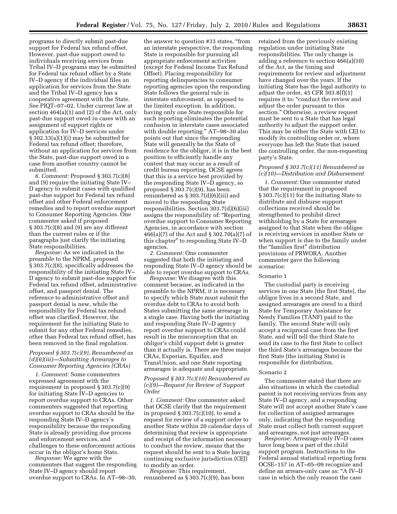programs to directly submit past-due support for Federal tax refund offset. However, past-due support owed to individuals receiving services from Tribal IV–D programs may be submitted for Federal tax refund offset by a State IV–D agency if the individual files an application for services from the State and the Tribal IV–D agency has a cooperative agreement with the State. See PIQT–07–02. Under current law at section 464(a)(1) and (2) of the Act, only past-due support owed in cases with an assignment of support rights or application for IV–D services under § 302.33(a)(1)(i) may be submitted for Federal tax refund offset; therefore, without an application for services from the State, past-due support owed in a case from another country cannot be submitted.

*6. Comment:* Proposed § 303.7(c)(8) and (9) require the initiating State IV– D agency to submit cases with qualified past-due support for Federal tax refund offset and other Federal enforcement remedies and to report overdue support to Consumer Reporting Agencies. One commenter asked if proposed § 303.7(c)(8) and (9) are any different than the current rules or if the paragraphs just clarify the initiating State responsibilities.

*Response:* As we indicated in the preamble to the NPRM, proposed § 303.7(c)(8), specifically addresses the responsibility of the initiating State IV– D agency to submit past-due support for Federal tax refund offset, administrative offset, and passport denial. The reference to administrative offset and passport denial is new, while the responsibility for Federal tax refund offset was clarified. However, the requirement for the initiating State to submit for any other Federal remedies, other than Federal tax refund offset, has been removed in the final regulation.

#### *Proposed § 303.7(c)(9), Renumbered as (d)(6)(iii)—Submitting Arrearages to Consumer Reporting Agencies (CRAs)*

*1. Comment:* Some commenters expressed agreement with the requirement in proposed § 303.7(c)(9) for initiating State IV–D agencies to report overdue support to CRAs. Other commenters suggested that reporting overdue support to CRAs should be the responding State IV–D agency's responsibility because the responding State is already providing due process and enforcement services, and challenges to these enforcement actions occur in the obligor's home State.

*Response:* We agree with the commenters that suggest the responding State IV–D agency should report overdue support to CRAs. In AT–98–30,

the answer to question #33 states, "from an interstate perspective, the responding State is responsible for pursuing all appropriate enforcement activities (except for Federal Income Tax Refund Offset). Placing responsibility for reporting delinquencies to consumer reporting agencies upon the responding State follows the general rule in interstate enforcement, as opposed to the limited exception. In addition, having only one State responsible for such reporting eliminates the potential confusion in interstate cases associated with double reporting.'' AT–98–30 also points out that since the responding State will generally be the State of residence for the obligor, it is in the best position to efficiently handle any contest that may occur as a result of credit bureau reporting. OCSE agrees that this is a service best provided by the responding State IV–D agency, so proposed § 303.7(c)(9), has been renumbered as § 303.7(d)(6)(iii) and moved to the responding State responsibilities. Section 303.7(d)(6)(iii) assigns the responsibility of: ''Reporting overdue support to Consumer Reporting Agencies, in accordance with section 466(a)(7) of the Act and § 302.70(a)(7) of this chapter'' to responding State IV–D agencies.

*2. Comment:* One commenter suggested that both the initiating and responding State IV–D agency should be able to report overdue support to CRAs.

*Response:* We disagree with this comment because, as indicated in the preamble to the NPRM, it is necessary to specify which State must submit the overdue debt to CRAs to avoid both States submitting the same arrearage in a single case. Having both the initiating and responding State IV–D agency report overdue support to CRAs could result in the misconception that an obligor's child support debt is greater than it actually is. There are three major CRAs, Experian, Equifax, and TransUnion, and one State reporting arrearages is adequate and appropriate.

## *Proposed § 303.7(c)(10) Renumbered as (c)(9)—Request for Review of Support Order*

*1. Comment:* One commenter asked that OCSE clarify that the requirement in proposed  $\S 303.7(c)(10)$ , to send a request for review of a support order to another State within 20 calendar days of determining that review is appropriate and receipt of the information necessary to conduct the review, means that the request should be sent to a State having continuing exclusive jurisdiction (CEJ) to modify an order.

*Response:* This requirement, renumbered as § 303.7(c)(9), has been retained from the previously existing regulation under initiating State responsibilities. The only change is adding a reference to section 466(a)(10) of the Act, as the timing and requirements for review and adjustment have changed over the years. If the initiating State has the legal authority to adjust the order, 45 CFR 303.8(f)(1) requires it to: "conduct the review and adjust the order pursuant to this section.'' Otherwise, a review request must be sent to a State that has legal authority to adjust the support order. This may be either the State with CEJ to modify its controlling order or, where everyone has left the State that issued the controlling order, the non-requesting party's State.

## *Proposed § 303.7(c)(11) Renumbered as (c)(10)—Distribution and Disbursement*

*1. Comment:* One commenter stated that the requirement in proposed § 303.7(c)(11) for the initiating State to distribute and disburse support collections received should be strengthened to prohibit direct withholding by a State for arrearages assigned to that State when the obligee is receiving services in another State or when support is due to the family under the ''families first'' distribution provisions of PRWORA. Another commenter gave the following scenarios:

#### Scenario 1

The custodial party is receiving services in one State [the first State], the obligor lives in a second State, and assigned arrearages are owed to a third State for Temporary Assistance for Needy Families (TANF) paid to the family. The second State will only accept a reciprocal case from the first State, and will tell the third State to send its case to the first State to collect the third State's arrearages because the first State (the initiating State) is responsible for distribution.

#### Scenario 2

The commenter stated that there are also situations in which the custodial parent is not receiving services from any State IV–D agency, and a responding State will not accept another State's case for collection of assigned arrearages only, indicating that the responding State must collect both current support and arrearages, not just arrearages.

*Response:* Arrearage-only IV–D cases have long been a part of the child support program. Instructions to the Federal annual statistical reporting form OCSE–157 in AT–05–09 recognize and define an arrears-only case as: ''A IV–D case in which the only reason the case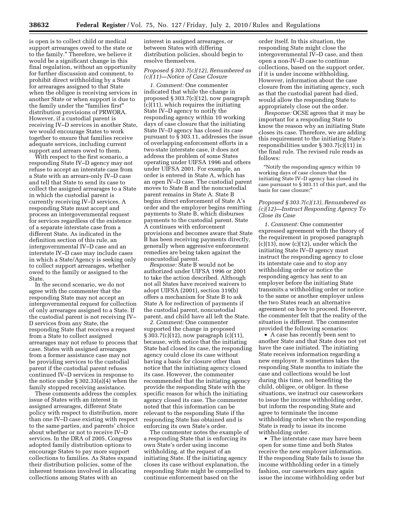is open is to collect child or medical support arrearages owed to the state or to the family.'' Therefore, we believe it would be a significant change in this final regulation, without an opportunity for further discussion and comment, to prohibit direct withholding by a State for arrearages assigned to that State when the obligee is receiving services in another State or when support is due to the family under the ''families first'' distribution provisions of PRWORA. However, if a custodial parent is receiving IV–D services in another State, we would encourage States to work together to ensure that families receive adequate services, including current support and arrears owed to them.

With respect to the first scenario, a responding State IV–D agency may not refuse to accept an interstate case from a State with an arrears-only IV–D case and tell that State to send its case to collect the assigned arrearages to a State in which the custodial parent is currently receiving IV–D services. A responding State must accept and process an intergovernmental request for services regardless of the existence of a separate interstate case from a different State. As indicated in the definition section of this rule, an intergovernmental IV–D case and an interstate IV–D case may include cases in which a State/Agency is seeking only to collect support arrearages, whether owed to the family or assigned to the State.

In the second scenario, we do not agree with the commenter that the responding State may not accept an intergovernmental request for collection of only arrearages assigned to a State. If the custodial parent is not receiving IV– D services from any State, the responding State that receives a request from a State to collect assigned arrearages may not refuse to process that case. States with assigned arrearages from a former assistance case may not be providing services to the custodial parent if the custodial parent refuses continued IV–D services in response to the notice under § 302.33(a)(4) when the family stopped receiving assistance.

These comments address the complex issue of States with an interest in assigned arrearages, different State policy with respect to distribution, more than one IV–D case existing with respect to the same parties, and parents' choice about whether or not to receive IV–D services. In the DRA of 2005, Congress adopted family distribution options to encourage States to pay more support collections to families. As States expand their distribution policies, some of the inherent tensions involved in allocating collections among States with an

interest in assigned arrearages, or between States with differing distribution policies, should begin to resolve themselves.

## *Proposed § 303.7(c)(12), Renumbered as (c)(11)—Notice of Case Closure*

*1. Comment:* One commenter indicated that while the change in proposed § 303.7(c)(12), now paragraph (c)(11), which requires the initiating State IV–D agency to notify the responding agency within 10 working days of case closure that the initiating State IV–D agency has closed its case pursuant to § 303.11, addresses the issue of overlapping enforcement efforts in a two-state interstate case, it does not address the problem of some States operating under UIFSA 1996 and others under UIFSA 2001. For example, an order is entered in State A, which has an open IV–D case. The custodial parent moves to State B and the noncustodial parent remains in State A. State B begins direct enforcement of State A's order and the employer begins remitting payments to State B, which disburses payments to the custodial parent. State A continues with enforcement provisions and becomes aware that State B has been receiving payments directly, generally when aggressive enforcement remedies are being taken against the noncustodial parent.

*Response:* State B would not be authorized under UIFSA 1996 or 2001 to take the action described. Although not all States have received waivers to adopt UIFSA (2001), section 319(b) offers a mechanism for State B to ask State A for redirection of payments if the custodial parent, noncustodial parent, and child have all left the State.

*2. Comment:* One commenter supported the change in proposed § 303.7(c)(12), now paragraph (c)(11), because, with notice that the initiating State had closed its case, the responding agency could close its case without having a basis for closure other than notice that the initiating agency closed its case. However, the commenter recommended that the initiating agency provide the responding State with the specific reason for which the initiating agency closed its case. The commenter noted that this information can be relevant to the responding State if the responding State has obtained and is enforcing its own State's order.

The commenter notes the example of a responding State that is enforcing its own State's order using income withholding, at the request of an initiating State. If the initiating agency closes its case without explanation, the responding State might be compelled to continue enforcement based on the

order itself. In this situation, the responding State might close the intergovernmental IV–D case, and then open a non-IV–D case to continue collections, based on the support order, if it is under income withholding. However, information about the case closure from the initiating agency, such as that the custodial parent had died, would allow the responding State to appropriately close out the order.

*Response:* OCSE agrees that it may be important for a responding State to know the reason why an initiating State closes its case. Therefore, we are adding this requirement to the initiating State's responsibilities under § 303.7(c)(11) in the final rule. The revised rule reads as follows:

''Notify the responding agency within 10 working days of case closure that the initiating State IV–D agency has closed its case pursuant to § 303.11 of this part, and the basis for case closure;''

## *Proposed § 303.7(c)(13), Renumbered as (c)(12)—Instruct Responding Agency To Close its Case*

*1. Comment:* One commenter expressed agreement with the theory of the requirement in proposed paragraph  $(c)(13)$ , now  $(c)(12)$ , under which the initiating State IV–D agency must instruct the responding agency to close its interstate case and to stop any withholding order or notice the responding agency has sent to an employer before the initiating State transmits a withholding order or notice to the same or another employer unless the two States reach an alternative agreement on how to proceed. However, the commenter felt that the reality of the situation is different. The commenter provided the following scenarios:

• A case has recently been sent to another State and that State does not yet have the case initiated. The initiating State receives information regarding a new employer. It sometimes takes the responding State months to initiate the case and collections would be lost during this time, not benefiting the child, obligee, or obligor. In these situations, we instruct our caseworkers to issue the income withholding order, but inform the responding State and agree to terminate the income withholding order when the responding State is ready to issue its income withholding order.

• The interstate case may have been open for some time and both States receive the new employer information. If the responding State fails to issue the income withholding order in a timely fashion, our caseworkers may again issue the income withholding order but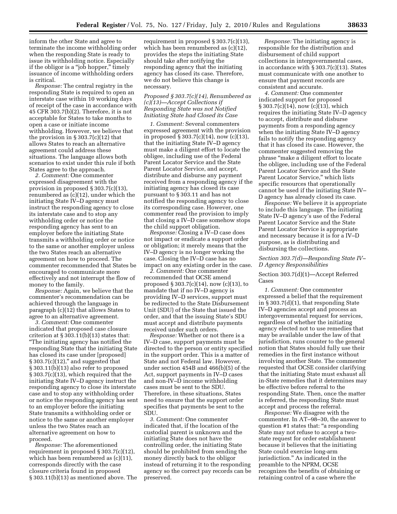inform the other State and agree to terminate the income withholding order when the responding State is ready to issue its withholding notice. Especially if the obligor is a ''job hopper,'' timely issuance of income withholding orders is critical.

*Response:* The central registry in the responding State is required to open an interstate case within 10 working days of receipt of the case in accordance with 45 CFR 303.7(b)(2). Therefore, it is not acceptable for States to take months to open a case or initiate income withholding. However, we believe that the provision in  $\S 303.7(c)(12)$  that allows States to reach an alternative agreement could address these situations. The language allows both scenarios to exist under this rule if both States agree to the approach.

*2. Comment:* One commenter expressed disagreement with the provision in proposed § 303.7(c)(13), renumbered as (c)(12), under which the initiating State IV–D agency must instruct the responding agency to close its interstate case and to stop any withholding order or notice the responding agency has sent to an employer before the initiating State transmits a withholding order or notice to the same or another employer unless the two States reach an alternative agreement on how to proceed. The commenter recommended that States be encouraged to communicate more effectively and not interrupt the flow of money to the family.

*Response:* Again, we believe that the commenter's recommendation can be achieved through the language in paragraph (c)(12) that allows States to agree to an alternative agreement.

*3. Comment:* One commenter indicated that proposed case closure criterion at  $\S 303.11(b)(13)$  states that: ''The initiating agency has notified the responding State that the initiating State has closed its case under [proposed]  $§ 303.7(c)(12),' and suggested that$ § 303.11(b)(13) also refer to proposed § 303.7(c)(13), which required that the initiating State IV–D agency instruct the responding agency to close its interstate case and to stop any withholding order or notice the responding agency has sent to an employer before the initiating State transmits a withholding order or notice to the same or another employer unless the two States reach an alternative agreement on how to proceed.

*Response:* The aforementioned requirement in proposed § 303.7(c)(12), which has been renumbered as (c)(11), corresponds directly with the case closure criteria found in proposed § 303.11(b)(13) as mentioned above. The

requirement in proposed § 303.7(c)(13), which has been renumbered as (c)(12), provides the steps the initiating State should take after notifying the responding agency that the initiating agency has closed its case. Therefore, we do not believe this change is necessary.

*Proposed § 303.7(c)(14), Renumbered as (c)(13)—Accept Collections if Responding State was not Notified Initiating State had Closed its Case* 

*1. Comment:* Several commenters expressed agreement with the provision in proposed § 303.7(c)(14), now (c)(13), that the initiating State IV–D agency must make a diligent effort to locate the obligee, including use of the Federal Parent Locator Service and the State Parent Locator Service, and accept, distribute and disburse any payment received from a responding agency if the initiating agency has closed its case pursuant to § 303.11 and has not notified the responding agency to close its corresponding case. However, one commenter read the provision to imply that closing a IV–D case somehow stops the child support obligation.

*Response:* Closing a IV–D case does not impact or eradicate a support order or obligation; it merely means that the IV–D agency is no longer working the case. Closing the IV–D case has no impact on any existing order in the case.

*2. Comment:* One commenter recommended that OCSE amend proposed § 303.7(c)(14), now (c)(13), to mandate that if no IV–D agency is providing IV–D services, support must be redirected to the State Disbursement Unit (SDU) of the State that issued the order, and that the issuing State's SDU must accept and distribute payments received under such orders.

*Response:* Whether or not there is a IV–D case, support payments must be directed to the person or entity specified in the support order. This is a matter of State and not Federal law. However, under section 454B and 466(b)(5) of the Act, support payments in IV–D cases and non-IV–D income withholding cases must be sent to the SDU. Therefore, in these situations, States need to ensure that the support order specifies that payments be sent to the SDU.

*3. Comment:* One commenter indicated that, if the location of the custodial parent is unknown and the initiating State does not have the controlling order, the initiating State should be prohibited from sending the money directly back to the obligor instead of returning it to the responding agency so the correct pay records can be preserved.

*Response:* The initiating agency is responsible for the distribution and disbursement of child support collections in intergovernmental cases, in accordance with § 303.7(c)(13). States must communicate with one another to ensure that payment records are consistent and accurate.

*4. Comment:* One commenter indicated support for proposed  $\S 303.7(c)(14)$ , now (c)(13), which requires the initiating State IV–D agency to accept, distribute and disburse payments from a responding agency when the initiating State IV–D agency fails to notify the responding agency that it has closed its case. However, the commenter suggested removing the phrase ''make a diligent effort to locate the obligee, including use of the Federal Parent Locator Service and the State Parent Locator Service,'' which lists specific resources that operationally cannot be used if the initiating State IV– D agency has already closed its case.

*Response:* We believe it is appropriate to include this language. The initiating State IV–D agency's use of the Federal Parent Locator Service and the State Parent Locator Service is appropriate and necessary because it is for a IV–D purpose, as is distributing and disbursing the collections.

*Section 303.7(d)—Responding State IV– D Agency Responsibilities* 

Section 303.7(d)(1)—Accept Referred Cases

*1. Comment:* One commenter expressed a belief that the requirement in § 303.7(d)(1), that responding State IV–D agencies accept and process an intergovernmental request for services, regardless of whether the initiating agency elected not to use remedies that may be available under the law of that jurisdiction, runs counter to the general notion that States should fully use their remedies in the first instance without involving another State. The commenter requested that OCSE consider clarifying that the initiating State must exhaust all in-State remedies that it determines may be effective before referral to the responding State. Then, once the matter is referred, the responding State must accept and process the referral.

*Response:* We disagree with the commenter. In AT–98–30, the answer to question #1 states that: ''a responding State may not refuse to accept a twostate request for order establishment because it believes that the initiating State could exercise long-arm jurisdiction*.*'' As indicated in the preamble to the NPRM, OCSE recognizes the benefits of obtaining or retaining control of a case where the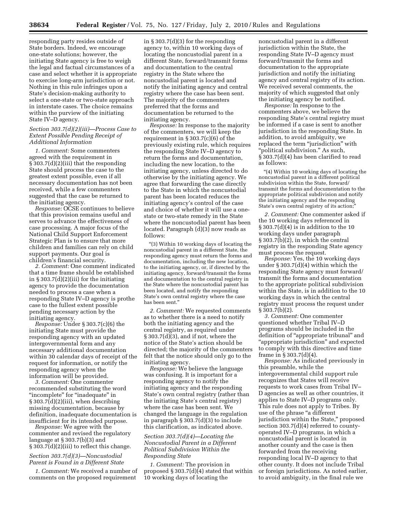responding party resides outside of State borders. Indeed, we encourage one-state solutions; however, the initiating State agency is free to weigh the legal and factual circumstances of a case and select whether it is appropriate to exercise long-arm jurisdiction or not. Nothing in this rule infringes upon a State's decision-making authority to select a one-state or two-state approach in interstate cases. The choice remains within the purview of the initiating State IV–D agency.

## *Section 303.7(d)(2)(iii)—Process Case to Extent Possible Pending Receipt of Additional Information*

*1. Comment:* Some commenters agreed with the requirement in § 303.7(d)(2)(iii) that the responding State should process the case to the greatest extent possible, even if all necessary documentation has not been received, while a few commenters suggested that the case be returned to the initiating agency.

*Response:* OCSE continues to believe that this provision remains useful and serves to advance the effectiveness of case processing. A major focus of the National Child Support Enforcement Strategic Plan is to ensure that more children and families can rely on child support payments. Our goal is children's financial security.

*2. Comment:* One comment indicated that a time frame should be established in  $\S 303.7(d)(2)(iii)$  for the initiating agency to provide the documentation needed to process a case when a responding State IV–D agency is prothe case to the fullest extent possible pending necessary action by the initiating agency.

*Response:* Under § 303.7(c)(6) the initiating State must provide the responding agency with an updated intergovernmental form and any necessary additional documentation within 30 calendar days of receipt of the request for information, or notify the responding agency when the information will be provided.

*3. Comment:* One commenter recommended substituting the word ''incomplete'' for ''inadequate'' in § 303.7(d)(2)(iii), when describing missing documentation, because by definition, inadequate documentation is insufficient for its intended purpose.

*Response:* We agree with the commenter and revised the regulatory language at § 303.7(b)(3) and § 303.7(d)(2)(iii) to reflect this change.

## *Section 303.7(d)(3)—Noncustodial Parent is Found in a Different State*

*1. Comment:* We received a number of comments on the proposed requirement

in § 303.7(d)(3) for the responding agency to, within 10 working days of locating the noncustodial parent in a different State, forward/transmit forms and documentation to the central registry in the State where the noncustodial parent is located and notify the initiating agency and central registry where the case has been sent. The majority of the commenters preferred that the forms and documentation be returned to the initiating agency.

*Response:* In response to the majority of the commenters, we will keep the requirement in  $\S 303.7(c)(6)$  of the previously existing rule, which requires the responding State IV–D agency to return the forms and documentation, including the new location, to the initiating agency, unless directed to do otherwise by the initiating agency. We agree that forwarding the case directly to the State in which the noncustodial parent has been located reduces the initiating agency's control of the case and choice of whether it will use a onestate or two-state remedy in the State where the noncustodial parent has been located. Paragraph (d)(3) now reads as follows:

''(3) Within 10 working days of locating the noncustodial parent in a different State, the responding agency must return the forms and documentation, including the new location, to the initiating agency, or, if directed by the initiating agency, forward/transmit the forms and documentation to the central registry in the State where the noncustodial parent has been located, and notify the responding State's own central registry where the case has been sent.''

*2. Comment:* We requested comments as to whether there is a need to notify both the initiating agency and the central registry, as required under § 303.7(d)(3), and if not, where the notice of the State's action should be directed; the majority of the commenters felt that the notice should only go to the initiating agency.

*Response:* We believe the language was confusing. It is important for a responding agency to notify the initiating agency and the responding State's own central registry (rather than the initiating State's central registry) where the case has been sent. We changed the language in the regulation in paragraph § 303.7(d)(3) to include this clarification, as indicated above.

## *Section 303.7(d)(4)—Locating the Noncustodial Parent in a Different Political Subdivision Within the Responding State*

*1. Comment:* The provision in proposed § 303.7(d)(4) stated that within 10 working days of locating the

noncustodial parent in a different jurisdiction within the State, the responding State IV–D agency must forward/transmit the forms and documentation to the appropriate jurisdiction and notify the initiating agency and central registry of its action. We received several comments, the majority of which suggested that only the initiating agency be notified.

*Response:* In response to the commenters above, we believe the responding State's central registry must be informed if a case is sent to another jurisdiction in the responding State. In addition, to avoid ambiguity, we replaced the term "jurisdiction" with ''political subdivision.'' As such, § 303.7(d)(4) has been clarified to read as follows:

''(4) Within 10 working days of locating the noncustodial parent in a different political subdivision within the State, forward/ transmit the forms and documentation to the appropriate political subdivision and notify the initiating agency and the responding State's own central registry of its action;''

*2. Comment:* One commenter asked if the 10 working days referenced in § 303.7(d)(4) is in addition to the 10 working days under paragraph § 303.7(b)(2), in which the central registry in the responding State agency must process the request.

*Response:* Yes, the 10 working days under § 303.7(d)(4) within which the responding State agency must forward/ transmit the forms and documentation to the appropriate political subdivision within the State, is in addition to the 10 working days in which the central registry must process the request under § 303.7(b)(2).

*3. Comment:* One commenter questioned whether Tribal IV–D programs should be included in the definition of ''appropriate tribunal'' and ''appropriate jurisdiction'' and expected to comply with this directive and time frame in § 303.7(d)(4).

*Response:* As indicated previously in this preamble, while the intergovernmental child support rule recognizes that States will receive requests to work cases from Tribal IV– D agencies as well as other countries, it applies to State IV–D programs only. This rule does not apply to Tribes. By use of the phrase "a different" jurisdiction within the State,'' proposed section 303.7(d)(4) referred to countyoperated IV–D programs, in which a noncustodial parent is located in another county and the case is then forwarded from the receiving responding local IV–D agency to that other county. It does not include Tribal or foreign jurisdictions. As noted earlier, to avoid ambiguity, in the final rule we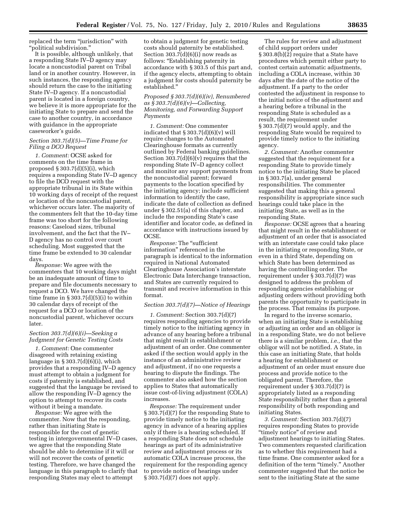replaced the term "jurisdiction" with ''political subdivision.''

It is possible, although unlikely, that a responding State IV–D agency may locate a noncustodial parent on Tribal land or in another country. However, in such instances, the responding agency should return the case to the initiating State IV–D agency. If a noncustodial parent is located in a foreign country, we believe it is more appropriate for the initiating State to prepare and send the case to another country, in accordance with guidance in the appropriate caseworker's guide.

#### *Section 303.7(d)(5)—Time Frame for Filing a DCO Request*

*1. Comment:* OCSE asked for comments on the time frame in proposed § 303.7(d)(5)(i), which requires a responding State IV–D agency to file the DCO request with the appropriate tribunal in its State within 10 working days of receipt of the request or location of the noncustodial parent, whichever occurs later. The majority of the commenters felt that the 10-day time frame was too short for the following reasons: Caseload sizes, tribunal involvement, and the fact that the IV– D agency has no control over court scheduling. Most suggested that the time frame be extended to 30 calendar days.

*Response:* We agree with the commenters that 10 working days might be an inadequate amount of time to prepare and file documents necessary to request a DCO. We have changed the time frame in  $\S 303.7(d)(5)(i)$  to within 30 calendar days of receipt of the request for a DCO or location of the noncustodial parent, whichever occurs later.

#### *Section 303.7(d)(6)(i)—Seeking a Judgment for Genetic Testing Costs*

*1. Comment:* One commenter disagreed with retaining existing language in  $\S 303.7(d)(6)(i)$ , which provides that a responding IV–D agency must attempt to obtain a judgment for costs if paternity is established, and suggested that the language be revised to allow the responding IV–D agency the option to attempt to recover its costs without it being a mandate.

*Response:* We agree with the commenter. Now that the responding, rather than initiating State is responsible for the cost of genetic testing in intergovernmental IV–D cases, we agree that the responding State should be able to determine if it will or will not recover the costs of genetic testing. Therefore, we have changed the language in this paragraph to clarify that responding States may elect to attempt

to obtain a judgment for genetic testing costs should paternity be established. Section  $303.7(d)(6)(i)$  now reads as follows: ''Establishing paternity in accordance with § 303.5 of this part and, if the agency elects, attempting to obtain a judgment for costs should paternity be established.''

## *Proposed § 303.7(d)(6)(iv), Renumbered as § 303.7(d)(6)(v)—Collecting, Monitoring, and Forwarding Support Payments*

*1. Comment:* One commenter indicated that  $\S 303.7(d)(6)(v)$  will require changes to the Automated Clearinghouse formats as currently outlined by Federal banking guidelines. Section  $303.7(d)(6)(v)$  requires that the responding State IV–D agency collect and monitor any support payments from the noncustodial parent; forward payments to the location specified by the initiating agency; include sufficient information to identify the case, indicate the date of collection as defined under § 302.51(a) of this chapter, and include the responding State's case identifier and locator code, as defined in accordance with instructions issued by OCSE.

*Response:* The ''sufficient information'' referenced in the paragraph is identical to the information required in National Automated Clearinghouse Association's interstate Electronic Data Interchange transaction, and States are currently required to transmit and receive information in this format.

#### *Section 303.7(d)(7)—Notice of Hearings*

*1. Comment:* Section 303.7(d)(7) requires responding agencies to provide timely notice to the initiating agency in advance of any hearing before a tribunal that might result in establishment or adjustment of an order. One commenter asked if the section would apply in the instance of an administrative review and adjustment, if no one requests a hearing to dispute the findings. The commenter also asked how the section applies to States that automatically issue cost-of-living adjustment (COLA) increases.

*Response:* The requirement under § 303.7(d)(7) for the responding State to provide timely notice to the initiating agency in advance of a hearing applies only if there is a hearing scheduled. If a responding State does not schedule hearings as part of its administrative review and adjustment process or its automatic COLA increase process, the requirement for the responding agency to provide notice of hearings under § 303.7(d)(7) does not apply.

The rules for review and adjustment of child support orders under § 303.8(b)(2) require that a State have procedures which permit either party to contest certain automatic adjustments, including a COLA increase, within 30 days after the date of the notice of the adjustment. If a party to the order contested the adjustment in response to the initial notice of the adjustment and a hearing before a tribunal in the responding State is scheduled as a result, the requirement under § 303.7(d)(7) would apply, and the responding State would be required to provide timely notice to the initiating agency.

*2. Comment:* Another commenter suggested that the requirement for a responding State to provide timely notice to the initiating State be placed in § 303.7(a), under general responsibilities. The commenter suggested that making this a general responsibility is appropriate since such hearings could take place in the initiating State, as well as in the responding State.

*Response:* OCSE agrees that a hearing that might result in the establishment or adjustment of an order that is associated with an interstate case could take place in the initiating or responding State, or even in a third State, depending on which State has been determined as having the controlling order. The requirement under § 303.7(d)(7) was designed to address the problem of responding agencies establishing or adjusting orders without providing both parents the opportunity to participate in the process. That remains its purpose.

In regard to the inverse scenario, when an initiating State is establishing or adjusting an order and an obligor is in a responding State, we do not believe there is a similar problem, *i.e.,* that the obligor will not be notified. A State, in this case an initiating State, that holds a hearing for establishment or adjustment of an order must ensure due process and provide notice to the obligated parent. Therefore, the requirement under § 303.7(d)(7) is appropriately listed as a responding State responsibility rather than a general responsibility of both responding and initiating States.

*3. Comment:* Section 303.7(d)(7) requires responding States to provide ''timely notice'' of review and adjustment hearings to initiating States. Two commenters requested clarification as to whether this requirement had a time frame. One commenter asked for a definition of the term "timely." Another commenter suggested that the notice be sent to the initiating State at the same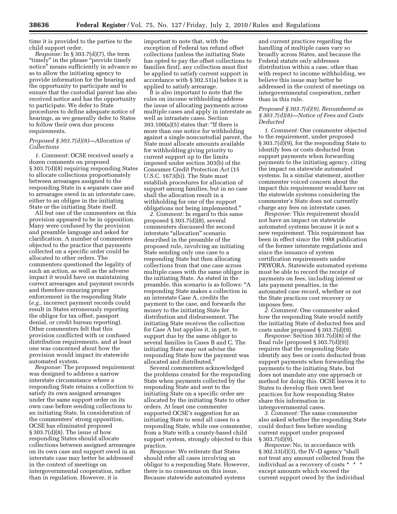time it is provided to the parties to the child support order.

*Response:* In § 303.7(d)(7), the term ''timely'' in the phrase ''provide timely notice'' means sufficiently in advance so as to allow the initiating agency to provide information for the hearing and the opportunity to participate and to ensure that the custodial parent has also received notice and has the opportunity to participate. We defer to State procedures to define adequate notice of hearings, as we generally defer to States to follow their own due process requirements.

#### *Proposed § 303.7(d)(8)—Allocation of Collections*

*1. Comment:* OCSE received nearly a dozen comments on proposed § 303.7(d)(8) requiring responding States to allocate collections proportionately between arrearages assigned to the responding State in a separate case and to arrearages owed in an interstate case, either to an obligee in the initiating State or the initiating State itself.

All but one of the commenters on this provision appeared to be in opposition. Many were confused by the provision and preamble language and asked for clarification. A number of commenters objected to the practice that payments collected on a specific order could be allocated to other orders. The commenters questioned the legality of such an action, as well as the adverse impact it would have on maintaining correct arrearages and payment records and therefore ensuring proper enforcement in the responding State (*e.g.,* incorrect payment records could result in States erroneously reporting the obligor for tax offset, passport denial, or credit bureau reporting). Other commenters felt that this provision conflicted with or confused distribution requirements, and at least one was concerned about how the provision would impact its statewide automated system.

*Response:* The proposed requirement was designed to address a narrow interstate circumstance where a responding State retains a collection to satisfy its own assigned arrearages under the same support order on its own case before sending collections to an initiating State. In consideration of the commenters' strong opposition, OCSE has eliminated proposed § 303.7(d)(8). The issue of how responding States should allocate collections between assigned arrearages on its own case and support owed in an interstate case may better be addressed in the context of meetings on intergovernmental cooperation, rather than in regulation. However, it is

important to note that, with the exception of Federal tax refund offset collections (unless the initiating State has opted to pay the offset collections to families first), any collection must first be applied to satisfy current support in accordance with § 302.51(a) before it is applied to satisfy arrearage.

It is also important to note that the rules on income withholding address the issue of allocating payments across multiple cases and apply in interstate as well as intrastate cases. Section 303.100(a)(5) states that: ''If there is more than one notice for withholding against a single noncustodial parent, the State must allocate amounts available for withholding giving priority to current support up to the limits imposed under section 303(b) of the Consumer Credit Protection Act (15 U.S.C. 1673(b)). The State must establish procedures for allocation of support among families, but in no case shall the allocation result in a withholding for one of the support obligations not being implemented.''

*2. Comment:* In regard to this same proposed § 303.7(d)(8), several commenters discussed the second interstate ''allocation'' scenario described in the preamble of the proposed rule, involving an initiating State sending only one case to a responding State but then allocating collections from that one case across multiple cases with the same obligor in the initiating State. As stated in the preamble, this scenario is as follows: ''A responding State makes a collection in an interstate Case A, credits the payment to the case, and forwards the money to the initiating State for distribution and disbursement. The initiating State receives the collection for Case A but applies it, in part, to support due by the same obligor to several families in Cases B and C. The initiating State may not advise the responding State how the payment was allocated and distributed.''

Several commenters acknowledged the problems created for the responding State when payments collected by the responding State and sent to the initiating State on a specific order are allocated by the initiating State to other orders. At least one commenter supported OCSE's suggestion for an initiating State to send all cases to a responding State, while one commenter, from a State with a county-based child support system, strongly objected to this practice.

*Response:* We reiterate that States should refer all cases involving an obligor to a responding State. However, there is no consensus on this issue. Because statewide automated systems

and current practices regarding the handling of multiple cases vary so broadly across States, and because the Federal statute only addresses distribution within a case, other than with respect to income withholding, we believe this issue may better be addressed in the context of meetings on intergovernmental cooperation, rather than in this rule.

## *Proposed § 303.7(d)(9), Renumbered as § 303.7(d)(8)—Notice of Fees and Costs Deducted*

*1. Comment:* One commenter objected to the requirement, under proposed § 303.7(d)(9), for the responding State to identify fees or costs deducted from support payments when forwarding payments to the initiating agency, citing the impact on statewide automated systems. In a similar statement, another commenter voiced concern about the impact this requirement would have on the statewide systems considering the commenter's State does not currently charge any fees on interstate cases.

*Response:* This requirement should not have an impact on statewide automated systems because it is not a new requirement. This requirement has been in effect since the 1988 publication of the former interstate regulations and since the issuance of system certification requirements under PRWORA. Statewide automated systems must be able to record the receipt of payments on fees, including interest or late payment penalties, in the automated case record, whether or not the State practices cost recovery or imposes fees.

*2. Comment:* One commenter asked how the responding State would notify the initiating State of deducted fees and costs under proposed § 303.7(d)(9).

*Response:* Section 303.7(d)(8) of the final rule [proposed § 303.7(d)(9)] requires that the responding State identify any fees or costs deducted from support payments when forwarding the payments to the initiating State, but does not mandate any one approach or method for doing this. OCSE leaves it to States to develop their own best practices for how responding States share this information in intergovernmental cases.

*3. Comment:* The same commenter also asked whether the responding State could deduct fees before sending current support under proposed § 303.7(d)(9).

*Response:* No, in accordance with § 302.33(d)(3), the IV–D agency ''shall not treat any amount collected from the individual as a recovery of costs \* \* \* except amounts which exceed the current support owed by the individual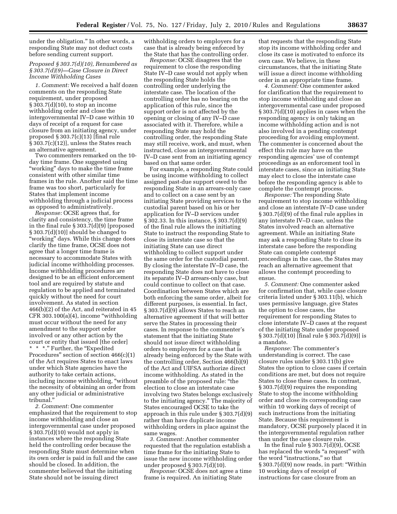under the obligation.'' In other words, a responding State may not deduct costs before sending current support.

## *Proposed § 303.7(d)(10), Renumbered as § 303.7(d)(9)—Case Closure in Direct Income Withholding Cases*

*1. Comment:* We received a half dozen comments on the responding State requirement, under proposed § 303.7(d)(10), to stop an income withholding order and close the intergovernmental IV–D case within 10 days of receipt of a request for case closure from an initiating agency, under proposed § 303.7(c)(13) [final rule § 303.7(c)(12)], unless the States reach an alternative agreement.

Two commenters remarked on the 10 day time frame. One suggested using "working" days to make the time frame consistent with other similar time frames in the rule. Another said the time frame was too short, particularly for States that implement income withholding through a judicial process as opposed to administratively.

*Response:* OCSE agrees that, for clarity and consistency, the time frame in the final rule § 303.7(d)(9) [proposed § 303.7(d)(10)] should be changed to "working" days. While this change does clarify the time frame, OCSE does not agree that a longer time frame is necessary to accommodate States with judicial income withholding processes. Income withholding procedures are designed to be an efficient enforcement tool and are required by statute and regulation to be applied and terminated quickly without the need for court involvement. As stated in section 466(b)(2) of the Act, and reiterated in 45 CFR  $303.100(a)(4)$ , income "withholding" must occur without the need for any amendment to the support order involved or any other action by the court or entity that issued [the order] \* \*." Further, the "Expedited Procedures'' section of section 466(c)(1) of the Act requires States to enact laws under which State agencies have the authority to take certain actions, including income withholding, ''without the necessity of obtaining an order from any other judicial or administrative tribunal.''

*2. Comment:* One commenter emphasized that the requirement to stop income withholding and close an intergovernmental case under proposed § 303.7(d)(10) would not apply in instances where the responding State held the controlling order because the responding State must determine when its own order is paid in full and the case should be closed. In addition, the commenter believed that the initiating State should not be issuing direct

withholding orders to employers for a case that is already being enforced by the State that has the controlling order.

*Response:* OCSE disagrees that the requirement to close the responding State IV–D case would not apply when the responding State holds the controlling order underlying the interstate case. The location of the controlling order has no bearing on the application of this rule, since the support order is not affected by the opening or closing of any IV–D case associated with it. Therefore, while a responding State may hold the controlling order, the responding State may still receive, work, and must, when instructed, close an intergovernmental IV–D case sent from an initiating agency based on that same order.

For example, a responding State could be using income withholding to collect assigned past-due support owed to the responding State in an arrears-only case and to collect on a case sent by an initiating State providing services to the custodial parent based on his or her application for IV–D services under § 302.33. In this instance, § 303.7(d)(9) of the final rule allows the initiating State to instruct the responding State to close its interstate case so that the initiating State can use direct withholding to collect support under the same order for the custodial parent. By closing the interstate IV–D case, the responding State does not have to close its separate IV–D arrears-only case, but could continue to collect on that case. Coordination between States which are both enforcing the same order, albeit for different purposes, is essential. In fact, § 303.7(d)(9) allows States to reach an alternative agreement if that will better serve the States in processing their cases. In response to the commenter's statement that the initiating State should not issue direct withholding orders to employers for a case that is already being enforced by the State with the controlling order, Section 466(b)(9) of the Act and UIFSA authorize direct income withholding. As stated in the preamble of the proposed rule: ''the election to close an interstate case involving two States belongs exclusively to the initiating agency.'' The majority of States encouraged OCSE to take the approach in this rule under § 303.7(d)(9) rather than have duplicate income withholding orders in place against the same wages.

*3. Comment:* Another commenter requested that the regulation establish a time frame for the initiating State to issue the new income withholding order under proposed § 303.7(d)(10).

*Response:* OCSE does not agree a time frame is required. An initiating State

that requests that the responding State stop its income withholding order and close its case is motivated to enforce its own case. We believe, in these circumstances, that the initiating State will issue a direct income withholding order in an appropriate time frame.

*4. Comment:* One commenter asked for clarification that the requirement to stop income withholding and close an intergovernmental case under proposed § 303.7(d)(10) applies in cases when the responding agency is only taking an income withholding action and is not also involved in a pending contempt proceeding for avoiding employment. The commenter is concerned about the effect this rule may have on the responding agencies' use of contempt proceedings as an enforcement tool in interstate cases, since an initiating State may elect to close the interstate case before the responding agency is able to complete the contempt process.

*Response:* The responding State requirement to stop income withholding and close an interstate IV–D case under § 303.7(d)(9) of the final rule applies in any interstate IV–D case, unless the States involved reach an alternative agreement. While an initiating State may ask a responding State to close its interstate case before the responding State can complete contempt proceedings in the case, the States may reach an alternative agreement that allows the contempt proceeding to ensue.

*5. Comment:* One commenter asked for confirmation that, while case closure criteria listed under § 303.11(b), which uses permissive language, give States the option to close cases, the requirement for responding States to close interstate IV–D cases at the request of the initiating State under proposed § 303.7(d)(10) [final rule § 303.7(d)(9)] is a mandate.

*Response:* The commenter's understanding is correct. The case closure rules under § 303.11(b) give States the option to close cases if certain conditions are met, but does not require States to close these cases. In contrast, § 303.7(d)(9) requires the responding State to stop the income withholding order and close its corresponding case within 10 working days of receipt of such instructions from the initiating State. Because this requirement is mandatory, OCSE purposely placed it in the intergovernmental regulation rather than under the case closure rule.

In the final rule § 303.7(d)(9), OCSE has replaced the words "a request" with the word "instructions," so that § 303.7(d)(9) now reads, in part: ''Within 10 working days of receipt of instructions for case closure from an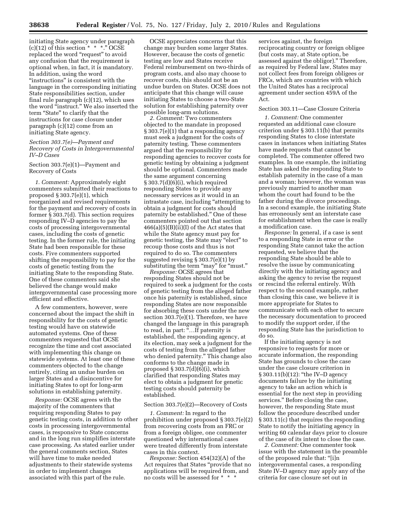initiating State agency under paragraph (c)(12) of this section  $* * *$ ." OCSE replaced the word "request" to avoid any confusion that the requirement is optional when, in fact, it is mandatory. In addition, using the word ''instructions'' is consistent with the language in the corresponding initiating State responsibilities section, under final rule paragraph (c)(12), which uses the word "instruct." We also inserted the term ''State'' to clarify that the instructions for case closure under paragraph (c)(12) come from an initiating State agency.

#### *Section 303.7(e)—Payment and Recovery of Costs in Intergovernmental IV–D Cases*

Section 303.7(e)(1)—Payment and Recovery of Costs

*1. Comment:* Approximately eight commenters submitted their reactions to proposed § 303.7(e)(1), which reorganized and revised requirements for the payment and recovery of costs in former § 303.7(d). This section requires responding IV–D agencies to pay the costs of processing intergovernmental cases, including the costs of genetic testing. In the former rule, the initiating State had been responsible for these costs. Five commenters supported shifting the responsibility to pay for the costs of genetic testing from the initiating State to the responding State. One of these commenters said she believed the change would make intergovernmental case processing more efficient and effective.

A few commenters, however, were concerned about the impact the shift in responsibility for the costs of genetic testing would have on statewide automated systems. One of these commenters requested that OCSE recognize the time and cost associated with implementing this change on statewide systems. At least one of these commenters objected to the change entirely, citing an undue burden on larger States and a disincentive for initiating States to opt for long-arm solutions in establishing paternity.

*Response:* OCSE agrees with the majority of the commenters that requiring responding States to pay genetic testing costs, in addition to other costs in processing intergovernmental cases, is responsive to State concerns and in the long run simplifies interstate case processing. As stated earlier under the general comments section, States will have time to make needed adjustments to their statewide systems in order to implement changes associated with this part of the rule.

OCSE appreciates concerns that this change may burden some larger States. However, because the costs of genetic testing are low and States receive Federal reimbursement on two-thirds of program costs, and also may choose to recover costs, this should not be an undue burden on States. OCSE does not anticipate that this change will cause initiating States to choose a two-State solution for establishing paternity over possible long-arm solutions.

*2. Comment:* Two commenters objected to the mandate in proposed § 303.7(e)(1) that a responding agency must seek a judgment for the costs of paternity testing. These commenters argued that the responsibility for responding agencies to recover costs for genetic testing by obtaining a judgment should be optional. Commenters made the same argument concerning § 303.7(d)(6)(i), which required responding States to provide any necessary services as it would in an intrastate case, including "attempting to obtain a judgment for costs should paternity be established.'' One of these commenters pointed out that section  $466(a)(5)(B)(ii)(I)$  of the Act states that while the State agency must pay for genetic testing, the State may ''elect'' to recoup those costs and thus is not required to do so. The commenters suggested revising § 303.7(e)(1) by substituting the term "may" for "must."

*Response:* OCSE agrees that responding States should not be required to seek a judgment for the costs of genetic testing from the alleged father once his paternity is established, since responding States are now responsible for absorbing these costs under the new section  $303.7(e)(1)$ . Therefore, we have changed the language in this paragraph to read, in part: ''…If paternity is established, the responding agency, at its election, may seek a judgment for the costs of testing from the alleged father who denied paternity.'' This change also conforms to the change made in proposed  $\S 303.7(d)(6)(i)$ , which clarified that responding States may elect to obtain a judgment for genetic testing costs should paternity be established.

#### Section 303.7(e)(2)—Recovery of Costs

*1. Comment:* In regard to the prohibition under proposed § 303.7(e)(2) from recovering costs from an FRC or from a foreign obligee, one commenter questioned why international cases were treated differently from interstate cases in this context.

*Response:* Section 454(32)(A) of the Act requires that States ''provide that no applications will be required from, and no costs will be assessed for \* \* \*

services against, the foreign reciprocating country or foreign obligee (but costs may, at State option, be assessed against the obligor).'' Therefore, as required by Federal law, States may not collect fees from foreign obligees or FRCs, which are countries with which the United States has a reciprocal agreement under section 459A of the Act.

#### Section 303.11—Case Closure Criteria

*1. Comment:* One commenter requested an additional case closure criterion under § 303.11(b) that permits responding States to close interstate cases in instances when initiating States have made requests that cannot be completed. The commenter offered two examples. In one example, the initiating State has asked the responding State to establish paternity in the case of a man and a woman; however, the woman was previously married to another man whom the court had found to be the father during the divorce proceedings. In a second example, the initiating State has erroneously sent an interstate case for establishment when the case is really a modification case.

*Response:* In general, if a case is sent to a responding State in error or the responding State cannot take the action requested, we believe that the responding State should be able to resolve the issue by communicating directly with the initiating agency and asking the agency to revise the request or rescind the referral entirely. With respect to the second example, rather than closing this case, we believe it is more appropriate for States to communicate with each other to secure the necessary documentation to proceed to modify the support order, if the responding State has the jurisdiction to do so.

If the initiating agency is not responsive to requests for more or accurate information, the responding State has grounds to close the case under the case closure criterion in § 303.11(b)(12): "the IV-D agency documents failure by the initiating agency to take an action which is essential for the next step in providing services.'' Before closing the case, however, the responding State must follow the procedure described under § 303.11(c) that requires the responding State to notify the initiating agency in writing 60 calendar days prior to closure of the case of its intent to close the case.

*2. Comment:* One commenter took issue with the statement in the preamble of the proposed rule that: ''[i]n intergovernmental cases, a responding State IV–D agency may apply any of the criteria for case closure set out in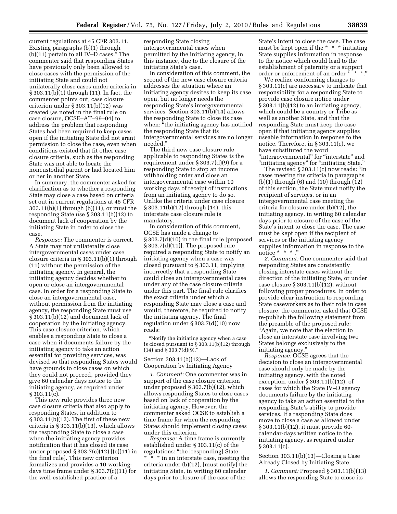current regulations at 45 CFR 303.11. Existing paragraphs (b)(1) through (b)(11) pertain to all IV–D cases.'' The commenter said that responding States have previously only been allowed to close cases with the permission of the initiating State and could not unilaterally close cases under criteria in § 303.11(b)(1) through (11). In fact, the commenter points out, case closure criterion under § 303.11(b)(12) was created (as noted in the final rule on case closure, OCSE–AT–99–04) to address the problem that responding States had been required to keep cases open if the initiating State did not grant permission to close the case, even when conditions existed that fit other case closure criteria, such as the responding State was not able to locate the noncustodial parent or had located him or her in another State.

In summary, the commenter asked for clarification as to whether a responding State may close a case based on criteria set out in current regulations at 45 CFR 303.11(b)(1) through (b)(11), or must the responding State use § 303.11(b)(12) to document lack of cooperation by the initiating State in order to close the case.

*Response:* The commenter is correct. A State may not unilaterally close intergovernmental cases under case closure criteria in § 303.11(b)(1) through (11) without the permission of the initiating agency. In general, the initiating agency decides whether to open or close an intergovernmental case. In order for a responding State to close an intergovernmental case, without permission from the initiating agency, the responding State must use § 303.11(b)(12) and document lack of cooperation by the initiating agency. This case closure criterion, which enables a responding State to close a case when it documents failure by the initiating agency to take an action essential for providing services, was devised so that responding States would have grounds to close cases on which they could not proceed, provided they give 60 calendar days notice to the initiating agency, as required under § 303.11(c).

This new rule provides three new case closure criteria that also apply to responding States, in addition to § 303.11(b)(12). The first of these new criteria is § 303.11(b)(13), which allows the responding State to close a case when the initiating agency provides notification that it has closed its case under proposed § 303.7(c)(12) [(c)(11) in the final rule]. This new criterion formalizes and provides a 10-workingdays time frame under § 303.7(c)(11) for the well-established practice of a

responding State closing intergovernmental cases when permitted by the initiating agency, in this instance, due to the closure of the initiating State's case.

In consideration of this comment, the second of the new case closure criteria addresses the situation where an initiating agency desires to keep its case open, but no longer needs the responding State's intergovernmental services. Section 303.11(b)(14) allows the responding State to close its case when: "the initiating agency has notified the responding State that its intergovernmental services are no longer needed.''

The third new case closure rule applicable to responding States is the requirement under § 303.7(d)(9) for a responding State to stop an income withholding order and close an intergovernmental case within 10 working days of receipt of instructions from an initiating agency to do so. Unlike the criteria under case closure § 303.11(b)(12) through (14), this interstate case closure rule is mandatory.

In consideration of this comment, OCSE has made a change to § 303.7(d)(10) in the final rule [proposed § 303.7(d)(11)]. The proposed rule required a responding State to notify an initiating agency when a case was closed pursuant to § 303.11, implying incorrectly that a responding State could close an intergovernmental case under any of the case closure criteria under this part. The final rule clarifies the exact criteria under which a responding State may close a case and would, therefore, be required to notify the initiating agency. The final regulation under § 303.7(d)(10) now reads:

''Notify the initiating agency when a case is closed pursuant to § 303.11(b)(12) through  $(14)$  and  $\hat{S}$  303.7(d)(9).

Section 303.11(b)(12)—Lack of Cooperation by Initiating Agency

*1. Comment:* One commenter was in support of the case closure criterion under proposed § 303.7(b)(12), which allows responding States to close cases based on lack of cooperation by the initiating agency. However, the commenter asked OCSE to establish a time frame for when the responding States should implement closing cases under this criterion.

*Response:* A time frame is currently established under § 303.11(c) of the regulations: "the [responding] State \* \* \* in an interstate case, meeting the criteria under (b)(12), [must notify] the initiating State, in writing 60 calendar days prior to closure of the case of the

State's intent to close the case. The case must be kept open if the \* \* \* initiating State supplies information in response to the notice which could lead to the establishment of paternity or a support order or enforcement of an order \* \* \*.''

We realize conforming changes to § 303.11(c) are necessary to indicate that responsibility for a responding State to provide case closure notice under § 303.11(b)(12) to an initiating agency, which could be a country or Tribe as well as another State, and that the responding State must keep the case open if that initiating agency supplies useable information in response to the notice. Therefore, in § 303.11(c), we have substituted the word "intergovernmental" for "interstate" and "initiating agency" for "initiating State."

The revised § 303.11(c) now reads: ''In cases meeting the criteria in paragraphs (b)(1) through (6) and (10) through (12) of this section, the State must notify the recipient of services, or in an intergovernmental case meeting the criteria for closure under (b)(12), the initiating agency, in writing 60 calendar days prior to closure of the case of the State's intent to close the case. The case must be kept open if the recipient of services or the initiating agency supplies information in response to the notice \* \* \* .''

*2. Comment:* One commenter said that responding States are consistently closing interstate cases without the direction of the initiating State, or under case closure  $\S 303.11(b)(12)$ , without following proper procedures. In order to provide clear instruction to responding State caseworkers as to their role in case closure, the commenter asked that OCSE re-publish the following statement from the preamble of the proposed rule: ''Again, we note that the election to close an interstate case involving two States belongs exclusively to the initiating agency.''

*Response:* OCSE agrees that the decision to close an intergovernmental case should only be made by the initiating agency, with the noted exception, under § 303.11(b)(12), of cases for which the State IV–D agency documents failure by the initiating agency to take an action essential to the responding State's ability to provide services. If a responding State does move to close a case as allowed under § 303.11(b)(12), it must provide 60 calendar-days written notice to the initiating agency, as required under  $§ 303.11(c).$ 

Section 303.11(b)(13)—Closing a Case Already Closed by Initiating State

*1. Comment:* Proposed § 303.11(b)(13) allows the responding State to close its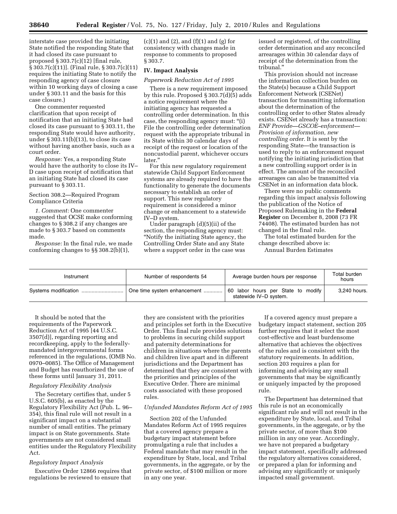interstate case provided the initiating State notified the responding State that it had closed its case pursuant to proposed  $\S 303.7(c)(12)$  [final rule, § 303.7(c)(11)]. (Final rule, § 303.7(c)(11) requires the initiating State to notify the responding agency of case closure within 10 working days of closing a case under § 303.11 and the basis for this case closure.)

One commenter requested clarification that upon receipt of notification that an initiating State had closed its case pursuant to § 303.11, the responding State would have authority, under  $\S 303.11(b)(13)$ , to close its case without having another basis, such as a court order.

*Response:* Yes, a responding State would have the authority to close its IV– D case upon receipt of notification that an initiating State had closed its case pursuant to § 303.11.

#### Section 308.2—Required Program Compliance Criteria

*1. Comment:* One commenter suggested that OCSE make conforming changes to § 308.2 if any changes are made to § 303.7 based on comments made.

*Response:* In the final rule, we made conforming changes to §§ 308.2(b)(1),

 $(c)(1)$  and  $(2)$ , and  $(f)(1)$  and  $(g)$  for consistency with changes made in response to comments to proposed § 303.7.

## **IV. Impact Analysis**

*Paperwork Reduction Act of 1995* 

There is a new requirement imposed by this rule. Proposed § 303.7(d)(5) adds a notice requirement where the initiating agency has requested a controlling order determination. In this case, the responding agency must: ''(i) File the controlling order determination request with the appropriate tribunal in its State within 30 calendar days of receipt of the request or location of the noncustodial parent, whichever occurs later.''

For this new regulatory requirement statewide Child Support Enforcement systems are already required to have the functionality to generate the documents necessary to establish an order of support. This new regulatory requirement is considered a minor change or enhancement to a statewide IV–D system.

Under paragraph (d)(5)(ii) of the section, the responding agency must: ''Notify the initiating State agency, the Controlling Order State and any State where a support order in the case was

issued or registered, of the controlling order determination and any reconciled arrearages within 30 calendar days of receipt of the determination from the tribunal.''

This provision should not increase the information collection burden on the State(s) because a Child Support Enforcement Network (CSENet) transaction for transmitting information about the determination of the controlling order to other States already exists. CSENet already has a transaction: *ENF Provide—GSCOE–enforcement— Provision of information, new controlling order.* It is sent by the responding State—the transaction is used to reply to an enforcement request notifying the initiating jurisdiction that a new controlling support order is in effect. The amount of the reconciled arrearages can also be transmitted via CSENet in an information data block.

There were no public comments regarding this impact analysis following the publication of the Notice of Proposed Rulemaking in the **Federal Register** on December 8, 2008 (73 FR 74408). The estimated burden has not changed in the final rule.

The total estimated burden for the change described above is: Annual Burden Estimates

| Instrument | Number of respondents 54    | Average burden hours per response                            | Total burden<br>hours |
|------------|-----------------------------|--------------------------------------------------------------|-----------------------|
|            | One time system enhancement | 60 labor hours per State to modify<br>statewide IV-D system. | 3,240 hours.          |

It should be noted that the requirements of the Paperwork Reduction Act of 1995 [44 U.S.C. 3507(d)], regarding reporting and recordkeeping, apply to the federallymandated intergovernmental forms referenced in the regulations, (OMB No. 0970–0085). The Office of Management and Budget has reauthorized the use of these forms until January 31, 2011.

#### *Regulatory Flexibility Analysis*

The Secretary certifies that, under 5 U.S.C. 605(b), as enacted by the Regulatory Flexibility Act (Pub. L. 96– 354), this final rule will not result in a significant impact on a substantial number of small entities. The primary impact is on State governments. State governments are not considered small entities under the Regulatory Flexibility Act.

## *Regulatory Impact Analysis*

Executive Order 12866 requires that regulations be reviewed to ensure that

they are consistent with the priorities and principles set forth in the Executive Order. This final rule provides solutions to problems in securing child support and paternity determinations for children in situations where the parents and children live apart and in different jurisdictions and the Department has determined that they are consistent with the priorities and principles of the Executive Order. There are minimal costs associated with these proposed rules.

#### *Unfunded Mandates Reform Act of 1995*

Section 202 of the Unfunded Mandates Reform Act of 1995 requires that a covered agency prepare a budgetary impact statement before promulgating a rule that includes a Federal mandate that may result in the expenditure by State, local, and Tribal governments, in the aggregate, or by the private sector, of \$100 million or more in any one year.

If a covered agency must prepare a budgetary impact statement, section 205 further requires that it select the most cost-effective and least burdensome alternative that achieves the objectives of the rules and is consistent with the statutory requirements. In addition, section 203 requires a plan for informing and advising any small governments that may be significantly or uniquely impacted by the proposed rule.

The Department has determined that this rule is not an economically significant rule and will not result in the expenditure by State, local, and Tribal governments, in the aggregate, or by the private sector, of more than \$100 million in any one year. Accordingly, we have not prepared a budgetary impact statement, specifically addressed the regulatory alternatives considered, or prepared a plan for informing and advising any significantly or uniquely impacted small government.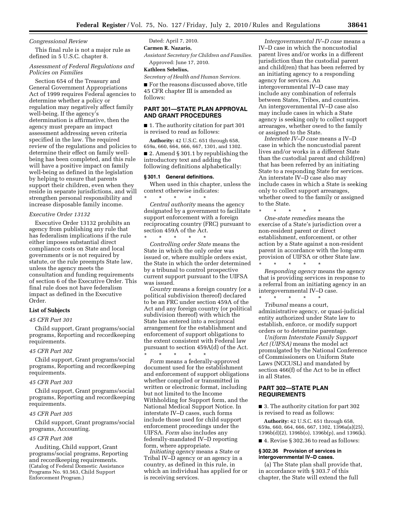#### *Congressional Review*

This final rule is not a major rule as defined in 5 U.S.C. chapter 8.

## *Assessment of Federal Regulations and Policies on Families*

Section 654 of the Treasury and General Government Appropriations Act of 1999 requires Federal agencies to determine whether a policy or regulation may negatively affect family well-being. If the agency's determination is affirmative, then the agency must prepare an impact assessment addressing seven criteria specified in the law. The required review of the regulations and policies to determine their effect on family wellbeing has been completed, and this rule will have a positive impact on family well-being as defined in the legislation by helping to ensure that parents support their children, even when they reside in separate jurisdictions, and will strengthen personal responsibility and increase disposable family income.

#### *Executive Order 13132*

Executive Order 13132 prohibits an agency from publishing any rule that has federalism implications if the rule either imposes substantial direct compliance costs on State and local governments or is not required by statute, or the rule preempts State law, unless the agency meets the consultation and funding requirements of section 6 of the Executive Order. This final rule does not have federalism impact as defined in the Executive Order.

## **List of Subjects**

#### *45 CFR Part 301*

Child support, Grant programs/social programs, Reporting and recordkeeping requirements.

#### *45 CFR Part 302*

Child support, Grant programs/social programs, Reporting and recordkeeping requirements.

## *45 CFR Part 303*

Child support, Grant programs/social programs, Reporting and recordkeeping requirements.

#### *45 CFR Part 305*

Child support, Grant programs/social programs, Accounting.

#### *45 CFR Part 308*

Auditing, Child support, Grant programs/social programs, Reporting and recordkeeping requirements. (Catalog of Federal Domestic Assistance Programs No. 93.563, Child Support Enforcement Program.)

## Dated: April 7, 2010.

**Carmen R. Nazario,** 

*Assistant Secretary for Children and Families.*  Approved: June 17, 2010.

#### **Kathleen Sebelius,**

*Secretary of Health and Human Services.* 

■ For the reasons discussed above, title 45 CFR chapter III is amended as follows:

## **PART 301—STATE PLAN APPROVAL AND GRANT PROCEDURES**

■ 1. The authority citation for part 301 is revised to read as follows:

**Authority:** 42 U.S.C. 651 through 658, 659a, 660, 664, 666, 667, 1301, and 1302. ■ 2. Amend § 301.1 by republishing the introductory text and adding the following definitions alphabetically:

## **§ 301.1 General definitions.**

When used in this chapter, unless the context otherwise indicates:

\* \* \* \* \* *Central authority* means the agency designated by a government to facilitate support enforcement with a foreign reciprocating country (FRC) pursuant to section 459A of the Act.

\* \* \* \* \* *Controlling order State* means the State in which the only order was issued or, where multiple orders exist, the State in which the order determined by a tribunal to control prospective current support pursuant to the UIFSA was issued.

*Country* means a foreign country (or a political subdivision thereof) declared to be an FRC under section 459A of the Act and any foreign country (or political subdivision thereof) with which the State has entered into a reciprocal arrangement for the establishment and enforcement of support obligations to the extent consistent with Federal law pursuant to section 459A(d) of the Act. \* \* \* \* \*

*Form* means a federally-approved document used for the establishment and enforcement of support obligations whether compiled or transmitted in written or electronic format, including but not limited to the Income Withholding for Support form, and the National Medical Support Notice. In interstate IV–D cases, such forms include those used for child support enforcement proceedings under the UIFSA. *Form* also includes any federally-mandated IV–D reporting form, where appropriate.

*Initiating agency* means a State or Tribal IV–D agency or an agency in a country, as defined in this rule, in which an individual has applied for or is receiving services.

*Intergovernmental IV–D case* means a IV–D case in which the noncustodial parent lives and/or works in a different jurisdiction than the custodial parent and child(ren) that has been referred by an initiating agency to a responding agency for services. An intergovernmental IV–D case may include any combination of referrals between States, Tribes, and countries. An intergovernmental IV–D case also may include cases in which a State agency is seeking only to collect support arrearages, whether owed to the family or assigned to the State.

*Interstate IV–D case* means a IV–D case in which the noncustodial parent lives and/or works in a different State than the custodial parent and child(ren) that has been referred by an initiating State to a responding State for services. An interstate IV–D case also may include cases in which a State is seeking only to collect support arrearages, whether owed to the family or assigned to the State.

\* \* \* \* \* *One-state remedies* means the exercise of a State's jurisdiction over a non-resident parent or direct establishment, enforcement, or other action by a State against a non-resident parent in accordance with the long-arm provision of UIFSA or other State law. \* \* \* \* \*

*Responding agency* means the agency that is providing services in response to a referral from an initiating agency in an intergovernmental IV–D case.

\* \* \* \* \* *Tribunal* means a court, administrative agency, or quasi-judicial entity authorized under State law to establish, enforce, or modify support orders or to determine parentage.

*Uniform Interstate Family Support Act (UIFSA)* means the model act promulgated by the National Conference of Commissioners on Uniform State Laws (NCCUSL) and mandated by section 466(f) of the Act to be in effect in all States.

#### **PART 302—STATE PLAN REQUIREMENTS**

■ 3. The authority citation for part 302 is revised to read as follows:

**Authority:** 42 U.S.C. 651 through 658, 659a, 660, 664, 666, 667, 1302, 1396a(a)(25), 1396b(d)(2), 1396b(o), 1396b(p), and 1396(k).

■ 4. Revise § 302.36 to read as follows:

#### **§ 302.36 Provision of services in intergovernmental IV–D cases.**

(a) The State plan shall provide that, in accordance with § 303.7 of this chapter, the State will extend the full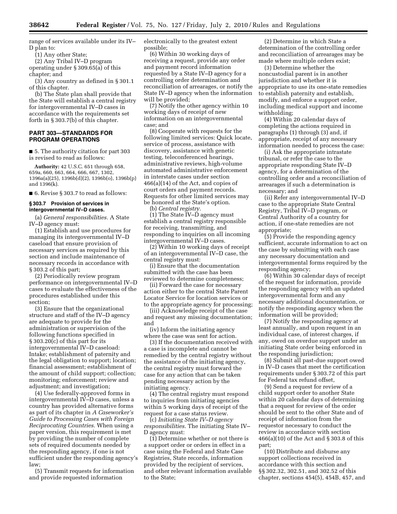range of services available under its IV– D plan to:

(1) Any other State;

(2) Any Tribal IV–D program operating under § 309.65(a) of this chapter; and

(3) Any country as defined in § 301.1 of this chapter.

(b) The State plan shall provide that the State will establish a central registry for intergovernmental IV–D cases in accordance with the requirements set forth in § 303.7(b) of this chapter.

#### **PART 303—STANDARDS FOR PROGRAM OPERATIONS**

■ 5. The authority citation for part 303 is revised to read as follows:

**Authority:** 42 U.S.C. 651 through 658, 659a, 660, 663, 664, 666, 667, 1302, 1396a(a)(25), 1396b(d)(2), 1396b(o), 1396b(p) and 1396(k).

■ 6. Revise § 303.7 to read as follows:

## **§ 303.7 Provision of services in intergovernmental IV–D cases.**

(a) *General responsibilities.* A State IV–D agency must:

(1) Establish and use procedures for managing its intergovernmental IV–D caseload that ensure provision of necessary services as required by this section and include maintenance of necessary records in accordance with § 303.2 of this part;

(2) Periodically review program performance on intergovernmental IV–D cases to evaluate the effectiveness of the procedures established under this section;

(3) Ensure that the organizational structure and staff of the IV–D agency are adequate to provide for the administration or supervision of the following functions specified in § 303.20(c) of this part for its intergovernmental IV–D caseload: Intake; establishment of paternity and the legal obligation to support; location; financial assessment; establishment of the amount of child support; collection; monitoring; enforcement; review and adjustment; and investigation;

(4) Use federally-approved forms in intergovernmental IV–D cases, unless a country has provided alternative forms as part of its chapter in *A Caseworker's Guide to Processing Cases with Foreign Reciprocating Countries.* When using a paper version, this requirement is met by providing the number of complete sets of required documents needed by the responding agency, if one is not sufficient under the responding agency's law;

(5) Transmit requests for information and provide requested information

electronically to the greatest extent possible;

(6) Within 30 working days of receiving a request, provide any order and payment record information requested by a State IV–D agency for a controlling order determination and reconciliation of arrearages, or notify the State IV–D agency when the information will be provided;

(7) Notify the other agency within 10 working days of receipt of new information on an intergovernmental case; and

(8) Cooperate with requests for the following limited services: Quick locate, service of process, assistance with discovery, assistance with genetic testing, teleconferenced hearings, administrative reviews, high-volume automated administrative enforcement in interstate cases under section 466(a)(14) of the Act, and copies of court orders and payment records. Requests for other limited services may be honored at the State's option.

(b) *Central registry.* 

 $(1)$  The State IV–D agency must establish a central registry responsible for receiving, transmitting, and responding to inquiries on all incoming intergovernmental IV–D cases.

(2) Within 10 working days of receipt of an intergovernmental IV–D case, the central registry must:

(i) Ensure that the documentation submitted with the case has been reviewed to determine completeness;

(ii) Forward the case for necessary action either to the central State Parent Locator Service for location services or to the appropriate agency for processing;

(iii) Acknowledge receipt of the case and request any missing documentation; and

(iv) Inform the initiating agency where the case was sent for action.

(3) If the documentation received with a case is incomplete and cannot be remedied by the central registry without the assistance of the initiating agency, the central registry must forward the case for any action that can be taken pending necessary action by the initiating agency.

(4) The central registry must respond to inquiries from initiating agencies within 5 working days of receipt of the request for a case status review.

(c) *Initiating State IV–D agency responsibilities.* The initiating State IV– D agency must:

(1) Determine whether or not there is a support order or orders in effect in a case using the Federal and State Case Registries, State records, information provided by the recipient of services, and other relevant information available to the State;

(2) Determine in which State a determination of the controlling order and reconciliation of arrearages may be made where multiple orders exist;

(3) Determine whether the noncustodial parent is in another jurisdiction and whether it is appropriate to use its one-state remedies to establish paternity and establish, modify, and enforce a support order, including medical support and income withholding;

(4) Within 20 calendar days of completing the actions required in paragraphs (1) through (3) and, if appropriate, receipt of any necessary information needed to process the case:

(i) Ask the appropriate intrastate tribunal, or refer the case to the appropriate responding State IV–D agency, for a determination of the controlling order and a reconciliation of arrearages if such a determination is necessary; and

(ii) Refer any intergovernmental IV–D case to the appropriate State Central Registry, Tribal IV–D program, or Central Authority of a country for action, if one-state remedies are not appropriate;

(5) Provide the responding agency sufficient, accurate information to act on the case by submitting with each case any necessary documentation and intergovernmental forms required by the responding agency;

(6) Within 30 calendar days of receipt of the request for information, provide the responding agency with an updated intergovernmental form and any necessary additional documentation, or notify the responding agency when the information will be provided;

(7) Notify the responding agency at least annually, and upon request in an individual case, of interest charges, if any, owed on overdue support under an initiating State order being enforced in the responding jurisdiction;

(8) Submit all past-due support owed in IV–D cases that meet the certification requirements under § 303.72 of this part for Federal tax refund offset,

(9) Send a request for review of a child support order to another State within 20 calendar days of determining that a request for review of the order should be sent to the other State and of receipt of information from the requestor necessary to conduct the review in accordance with section 466(a)(10) of the Act and § 303.8 of this part;

(10) Distribute and disburse any support collections received in accordance with this section and §§ 302.32, 302.51, and 302.52 of this chapter, sections 454(5), 454B, 457, and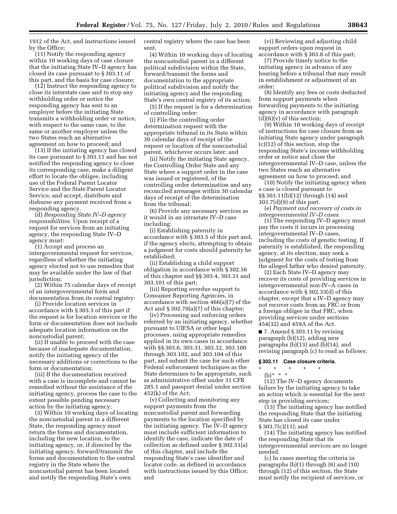1912 of the Act, and instructions issued by the Office;

(11) Notify the responding agency within 10 working days of case closure that the initiating State IV–D agency has closed its case pursuant to § 303.11 of this part, and the basis for case closure;

(12) Instruct the responding agency to close its interstate case and to stop any withholding order or notice the responding agency has sent to an employer before the initiating State transmits a withholding order or notice, with respect to the same case, to the same or another employer unless the two States reach an alternative agreement on how to proceed; and

(13) If the initiating agency has closed its case pursuant to § 303.11 and has not notified the responding agency to close its corresponding case, make a diligent effort to locate the obligee, including use of the Federal Parent Locator Service and the State Parent Locator Service, and accept, distribute and disburse any payment received from a responding agency.

(d) *Responding State IV–D agency responsibilities.* Upon receipt of a request for services from an initiating agency, the responding State IV–D agency must:

(1) Accept and process an intergovernmental request for services, regardless of whether the initiating agency elected not to use remedies that may be available under the law of that jurisdiction;

(2) Within 75 calendar days of receipt of an intergovernmental form and documentation from its central registry:

(i) Provide location services in accordance with § 303.3 of this part if the request is for location services or the form or documentation does not include adequate location information on the noncustodial parent;

(ii) If unable to proceed with the case because of inadequate documentation, notify the initiating agency of the necessary additions or corrections to the form or documentation;

(iii) If the documentation received with a case is incomplete and cannot be remedied without the assistance of the initiating agency, process the case to the extent possible pending necessary action by the initiating agency;

(3) Within 10 working days of locating the noncustodial parent in a different State, the responding agency must return the forms and documentation, including the new location, to the initiating agency, or, if directed by the initiating agency, forward/transmit the forms and documentation to the central registry in the State where the noncustodial parent has been located and notify the responding State's own

central registry where the case has been sent.

(4) Within 10 working days of locating the noncustodial parent in a different political subdivision within the State, forward/transmit the forms and documentation to the appropriate political subdivision and notify the initiating agency and the responding State's own central registry of its action;

(5) If the request is for a determination of controlling order:

(i) File the controlling order determination request with the appropriate tribunal in its State within 30 calendar days of receipt of the request or location of the noncustodial parent, whichever occurs later; and

(ii) Notify the initiating State agency, the Controlling Order State and any State where a support order in the case was issued or registered, of the controlling order determination and any reconciled arrearages within 30 calendar days of receipt of the determination from the tribunal;

(6) Provide any necessary services as it would in an intrastate IV–D case including:

(i) Establishing paternity in accordance with § 303.5 of this part and, if the agency elects, attempting to obtain a judgment for costs should paternity be established;

(ii) Establishing a child support obligation in accordance with § 302.56 of this chapter and §§ 303.4, 303.31 and 303.101 of this part;

(iii) Reporting overdue support to Consumer Reporting Agencies, in accordance with section 466(a)(7) of the Act and  $\S 302.70(a)(7)$  of this chapter;

(iv) Processing and enforcing orders referred by an initiating agency, whether pursuant to UIFSA or other legal processes, using appropriate remedies applied in its own cases in accordance with §§ 303.6, 303.31, 303.32, 303.100 through 303.102, and 303.104 of this part, and submit the case for such other Federal enforcement techniques as the State determines to be appropriate, such as administrative offset under 31 CFR 285.1 and passport denial under section 452(k) of the Act;

(v) Collecting and monitoring any support payments from the noncustodial parent and forwarding payments to the location specified by the initiating agency. The IV–D agency must include sufficient information to identify the case, indicate the date of collection as defined under § 302.51(a) of this chapter, and include the responding State's case identifier and locator code, as defined in accordance with instructions issued by this Office; and

(vi) Reviewing and adjusting child support orders upon request in accordance with § 303.8 of this part;

(7) Provide timely notice to the initiating agency in advance of any hearing before a tribunal that may result in establishment or adjustment of an order;

(8) Identify any fees or costs deducted from support payments when forwarding payments to the initiating agency in accordance with paragraph  $(d)(6)(v)$  of this section;

(9) Within 10 working days of receipt of instructions for case closure from an initiating State agency under paragraph (c)(12) of this section, stop the responding State's income withholding order or notice and close the intergovernmental IV–D case, unless the two States reach an alternative agreement on how to proceed; and

(10) Notify the initiating agency when a case is closed pursuant to §§ 303.11(b)(12) through (14) and 303.7(d)(9) of this part.

(e) *Payment and recovery of costs in intergovernmental IV–D cases.* 

(1) The responding IV–D agency must pay the costs it incurs in processing intergovernmental IV–D cases, including the costs of genetic testing. If paternity is established, the responding agency, at its election, may seek a judgment for the costs of testing from the alleged father who denied paternity.

(2) Each State IV–D agency may recover its costs of providing services in intergovernmental non-IV–A cases in accordance with § 302.33(d) of this chapter, except that a IV–D agency may not recover costs from an FRC or from a foreign obligee in that FRC, when providing services under sections 454(32) and 459A of the Act.

 $\blacksquare$  7. Amend § 303.11 by revising paragraph (b)(12), adding new paragraphs (b)(13) and (b)(14), and revising paragraph (c) to read as follows:

#### **§ 303.11 Case closure criteria.**

- \* \* \* \* \*
	- (b)\* \* \*

(12) The IV–D agency documents failure by the initiating agency to take an action which is essential for the next step in providing services;

(13) The initiating agency has notified the responding State that the initiating State has closed its case under § 303.7(c)(11); and

(14) The initiating agency has notified the responding State that its intergovernmental services are no longer needed.

(c) In cases meeting the criteria in paragraphs (b)(1) through (6) and (10) through (12) of this section, the State must notify the recipient of services, or